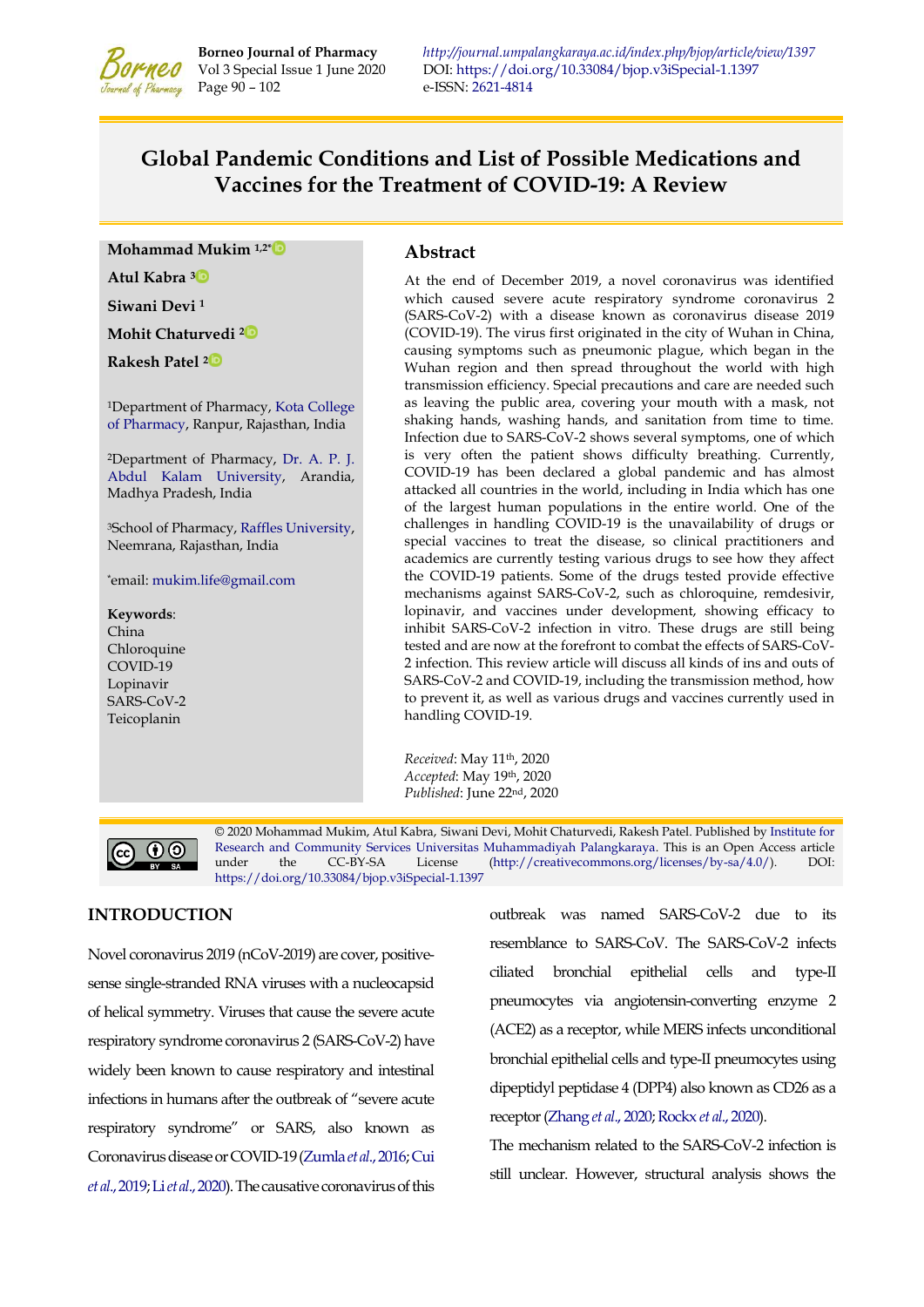

**Borneo Journal of Pharmacy** *<http://journal.umpalangkaraya.ac.id/index.php/bjop/article/view/1397>* Vol 3 Special Issue 1 June 2020 DOI: https://doi.org/10.33084/bjop.v3iSpecial-1.1397 Vol 3 Special Issue 1 June 2020 DOI:<https://doi.org/10.33084/bjop.v3iSpecial-1.1397> e-ISSN[: 2621-4814](https://portal.issn.org/resource/ISSN/2621-4814)

# **Global Pandemic Conditions and List of Possible Medications and Vaccines for the Treatment of COVID-19: A Review**

**Mohammad Mukim 1,2[\\*](https://orcid.org/0000-0001-7260-686X)** 

**Atul Kabra <sup>3</sup>**

**Siwani Devi <sup>1</sup>**

**Mohit Chaturvedi [2](https://orcid.org/0000-0002-3205-4922)**

**Rakesh Patel [2](https://orcid.org/0000-0002-0140-5398)**

<sup>1</sup>Department of Pharmacy[, Kota College](http://www.kota-pharmacy.com/)  [of Pharmacy,](http://www.kota-pharmacy.com/) Ranpur, Rajasthan, India

<sup>2</sup>Department of Pharmacy, [Dr. A. P. J.](https://www.aku.ac.in/)  [Abdul Kalam University,](https://www.aku.ac.in/) Arandia, Madhya Pradesh, India

<sup>3</sup>School of Pharmacy, [Raffles University,](https://www.rafflesuniversity.edu.in/)  Neemrana, Rajasthan, India

\*email: [mukim.life@gmail.com](mailto:mukim.life@gmail.com)

**Keywords**: China Chloroquine COVID-19 Lopinavir SARS-CoV-2 Teicoplanin

## **Abstract**

At the end of December 2019, a novel coronavirus was identified which caused severe acute respiratory syndrome coronavirus 2 (SARS-CoV-2) with a disease known as coronavirus disease 2019 (COVID-19). The virus first originated in the city of Wuhan in China, causing symptoms such as pneumonic plague, which began in the Wuhan region and then spread throughout the world with high transmission efficiency. Special precautions and care are needed such as leaving the public area, covering your mouth with a mask, not shaking hands, washing hands, and sanitation from time to time. Infection due to SARS-CoV-2 shows several symptoms, one of which is very often the patient shows difficulty breathing. Currently, COVID-19 has been declared a global pandemic and has almost attacked all countries in the world, including in India which has one of the largest human populations in the entire world. One of the challenges in handling COVID-19 is the unavailability of drugs or special vaccines to treat the disease, so clinical practitioners and academics are currently testing various drugs to see how they affect the COVID-19 patients. Some of the drugs tested provide effective mechanisms against SARS-CoV-2, such as chloroquine, remdesivir, lopinavir, and vaccines under development, showing efficacy to inhibit SARS-CoV-2 infection in vitro. These drugs are still being tested and are now at the forefront to combat the effects of SARS-CoV-2 infection. This review article will discuss all kinds of ins and outs of SARS-CoV-2 and COVID-19, including the transmission method, how to prevent it, as well as various drugs and vaccines currently used in handling COVID-19.

*Received*: May 11th, 2020 *Accepted*: May 19th, 2020 *Published*: June 22nd, 2020



© 2020 Mohammad Mukim, Atul Kabra, Siwani Devi, Mohit Chaturvedi, Rakesh Patel. Published b[y Institute for](http://journal.umpalangkaraya.ac.id/)  [Research and Community Services](http://journal.umpalangkaraya.ac.id/) [Universitas Muhammadiyah Palangkaraya.](http://umpalangkaraya.ac.id/) This is an Open Access article under the CC-BY-SA License [\(http://creativecommons.org/licenses/by-sa/4.0/\)](http://creativecommons.org/licenses/by-sa/4.0/). DOI: <https://doi.org/10.33084/bjop.v3iSpecial-1.1397>

# **INTRODUCTION**

Novel coronavirus 2019 (nCoV-2019) are cover, positivesense single-stranded RNA viruses with a nucleocapsid of helical symmetry. Viruses that cause the severe acute respiratory syndrome coronavirus 2 (SARS-CoV-2) have widely been known to cause respiratory and intestinal infections in humans after the outbreak of "severe acute respiratory syndrome" or SARS, also known as Coronavirus disease or COVID-19 [\(Zumla](#page-12-0) *et al*., 2016[; Cui](#page-9-0)  *et al*[., 2019;](#page-9-0) Li *et al*[., 2020\)](#page-10-0). The causative coronavirus of this outbreak was named SARS-CoV-2 due to its resemblance to SARS-CoV. The SARS-CoV-2 infects ciliated bronchial epithelial cells and type-II pneumocytes via angiotensin-converting enzyme 2 (ACE2) as a receptor, while MERS infects unconditional bronchial epithelial cells and type-II pneumocytes using dipeptidyl peptidase 4 (DPP4) also known as CD26 as a receptor [\(Zhang](#page-12-1) *et al*., 2020[; Rockx](#page-11-0) *et al*., 2020).

The mechanism related to the SARS-CoV-2 infection is still unclear. However, structural analysis shows the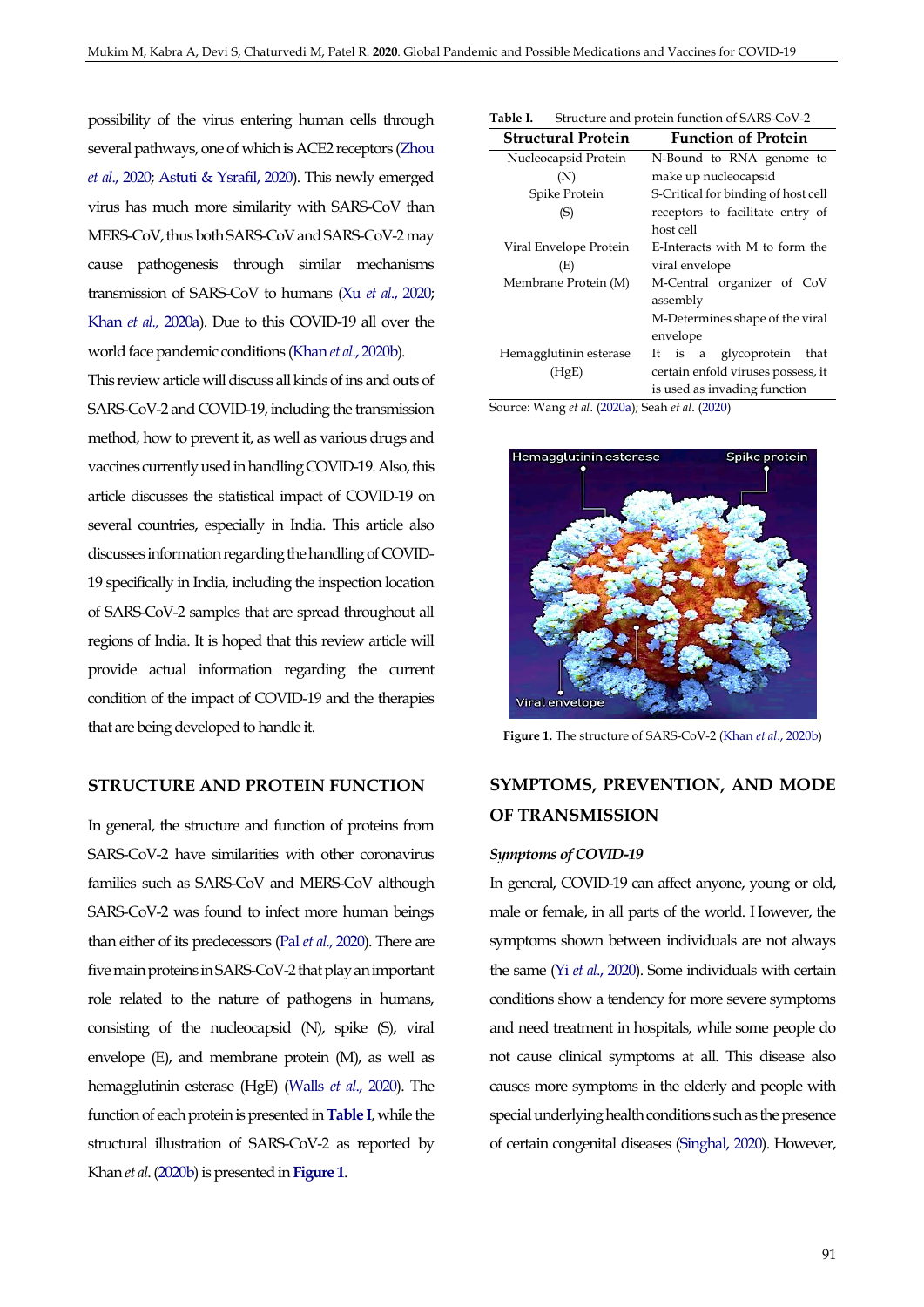possibility of the virus entering human cells through several pathways, one of which is ACE2 receptors [\(Zhou](#page-12-2) *et al*[., 2020;](#page-12-2) [Astuti & Ysrafil, 2020\)](#page-9-1). This newly emerged virus has much more similarity with SARS-CoV than MERS-CoV, thus both SARS-CoV and SARS-CoV-2 may cause pathogenesis through similar mechanisms transmission of SARS-CoV to humans (Xu *et al*[., 2020;](#page-12-3)  Khan *et al.,* [2020a\)](#page-10-1). Due to this COVID-19 all over the world face pandemic conditions (Khan *et al*[., 2020b\)](#page-10-2).

This review article will discuss all kinds of ins and outs of SARS-CoV-2 and COVID-19, including the transmission method, how to prevent it, as well as various drugs and vaccines currently used in handling COVID-19. Also, this article discusses the statistical impact of COVID-19 on several countries, especially in India. This article also discusses information regarding the handling of COVID-19 specifically in India, including the inspection location of SARS-CoV-2 samples that are spread throughout all regions of India. It is hoped that this review article will provide actual information regarding the current condition of the impact of COVID-19 and the therapies that are being developed to handle it.

## **STRUCTURE AND PROTEIN FUNCTION**

In general, the structure and function of proteins from SARS-CoV-2 have similarities with other coronavirus families such as SARS-CoV and MERS-CoV although SARS-CoV-2 was found to infect more human beings than either of its predecessors (Pal *et al*[., 2020\)](#page-10-3). There are five main proteins in SARS-CoV-2 that play an important role related to the nature of pathogens in humans, consisting of the nucleocapsid (N), spike (S), viral envelope (E), and membrane protein (M), as well as hemagglutinin esterase (HgE) (Walls *et al*[., 2020\)](#page-11-1). The function of each protein is presented in **[Table I](#page-1-0)**, while the structural illustration of SARS-CoV-2 as reported by Khan *et al*. [\(2020b\)](#page-10-2) is presented in **[Figure 1](#page-1-1)**.

<span id="page-1-0"></span>

| Table I. | Structure and protein function of SARS-CoV-2 |
|----------|----------------------------------------------|
|          |                                              |

| <b>Structural Protein</b> | <b>Function of Protein</b>          |  |  |
|---------------------------|-------------------------------------|--|--|
| Nucleocapsid Protein      | N-Bound to RNA genome to            |  |  |
| (N)                       | make up nucleocapsid                |  |  |
| Spike Protein             | S-Critical for binding of host cell |  |  |
| (S)                       | receptors to facilitate entry of    |  |  |
|                           | host cell                           |  |  |
| Viral Envelope Protein    | E-Interacts with M to form the      |  |  |
| (E)                       | viral envelope                      |  |  |
| Membrane Protein (M)      | M-Central organizer of CoV          |  |  |
|                           | assembly                            |  |  |
|                           | M-Determines shape of the viral     |  |  |
|                           | envelope                            |  |  |
| Hemagglutinin esterase    | It is a glycoprotein<br>that        |  |  |
| (HgE)                     | certain enfold viruses possess, it  |  |  |
|                           | is used as invading function        |  |  |

Source: Wang *et al*. [\(2020a\)](#page-11-2); Seah *et al*. [\(2020\)](#page-11-3)

<span id="page-1-1"></span>

**Figure 1.** The structure of SARS-CoV-2 (Khan *et al*[., 2020b\)](#page-10-2)

# **SYMPTOMS, PREVENTION, AND MODE OF TRANSMISSION**

#### *Symptoms of COVID-19*

In general, COVID-19 can affect anyone, young or old, male or female, in all parts of the world. However, the symptoms shown between individuals are not always the same (Yi *et al*[., 2020\)](#page-12-4). Some individuals with certain conditions show a tendency for more severe symptoms and need treatment in hospitals, while some people do not cause clinical symptoms at all. This disease also causes more symptoms in the elderly and people with special underlying health conditions such as the presence of certain congenital diseases [\(Singhal, 2020\)](#page-11-4). However,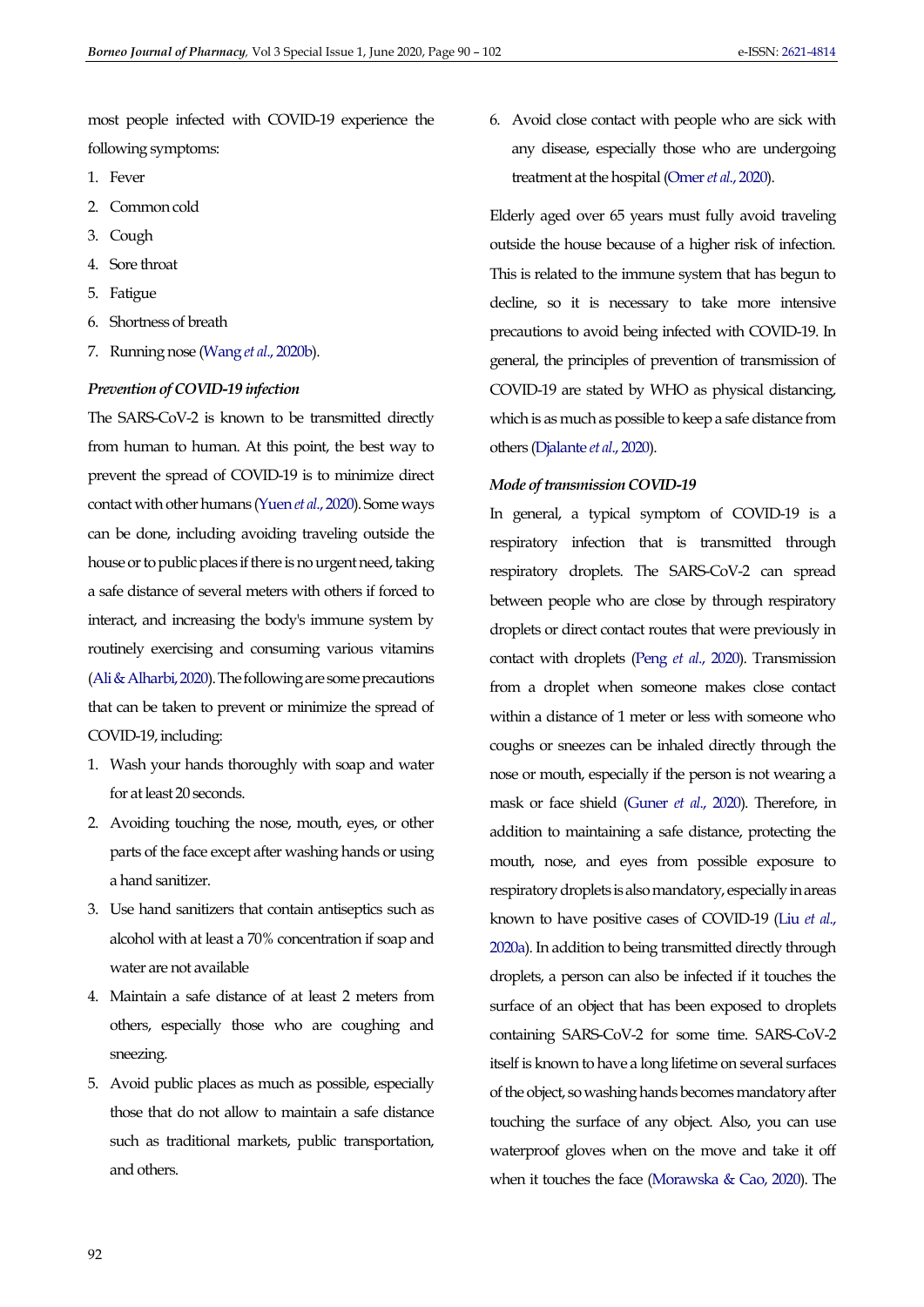most people infected with COVID-19 experience the following symptoms:

- 1. Fever
- 2. Common cold
- 3. Cough
- 4. Sore throat
- 5. Fatigue
- 6. Shortness of breath
- 7. Running nose (Wang *et al*[., 2020b\)](#page-11-5).

## *Prevention of COVID-19 infection*

The SARS-CoV-2 is known to be transmitted directly from human to human. At this point, the best way to prevent the spread of COVID-19 is to minimize direct contact with other humans [\(Yuen](#page-12-5) *et al*., 2020). Some ways can be done, including avoiding traveling outside the house or to public places if there is no urgent need, taking a safe distance of several meters with others if forced to interact, and increasing the body's immune system by routinely exercising and consuming various vitamins [\(Ali & Alharbi, 2020\)](#page-8-0). The following are some precautions that can be taken to prevent or minimize the spread of COVID-19, including:

- 1. Wash your hands thoroughly with soap and water for at least 20 seconds.
- 2. Avoiding touching the nose, mouth, eyes, or other parts of the face except after washing hands or using a hand sanitizer.
- 3. Use hand sanitizers that contain antiseptics such as alcohol with at least a 70% concentration if soap and water are not available
- 4. Maintain a safe distance of at least 2 meters from others, especially those who are coughing and sneezing.
- 5. Avoid public places as much as possible, especially those that do not allow to maintain a safe distance such as traditional markets, public transportation, and others.

6. Avoid close contact with people who are sick with any disease, especially those who are undergoing treatment at the hospital [\(Omer](#page-10-4) *et al*., 2020).

Elderly aged over 65 years must fully avoid traveling outside the house because of a higher risk of infection. This is related to the immune system that has begun to decline, so it is necessary to take more intensive precautions to avoid being infected with COVID-19. In general, the principles of prevention of transmission of COVID-19 are stated by WHO as physical distancing, which is as much as possible to keep a safe distance from others [\(Djalante](#page-9-2) *et al*., 2020).

## *Mode of transmission COVID-19*

In general, a typical symptom of COVID-19 is a respiratory infection that is transmitted through respiratory droplets. The SARS-CoV-2 can spread between people who are close by through respiratory droplets or direct contact routes that were previously in contact with droplets (Peng *et al*[., 2020\)](#page-11-6). Transmission from a droplet when someone makes close contact within a distance of 1 meter or less with someone who coughs or sneezes can be inhaled directly through the nose or mouth, especially if the person is not wearing a mask or face shield [\(Guner](#page-9-3) *et al*., 2020). Therefore, in addition to maintaining a safe distance, protecting the mouth, nose, and eyes from possible exposure to respiratory droplets is also mandatory, especially in areas known to have positive cases of COVID-19 [\(Liu](#page-10-5) *et al*., [2020a\)](#page-10-5). In addition to being transmitted directly through droplets, a person can also be infected if it touches the surface of an object that has been exposed to droplets containing SARS-CoV-2 for some time. SARS-CoV-2 itself is known to have a long lifetime on several surfaces of the object, so washing hands becomes mandatory after touching the surface of any object. Also, you can use waterproof gloves when on the move and take it off when it touches the face [\(Morawska & Cao, 2020\)](#page-10-6). The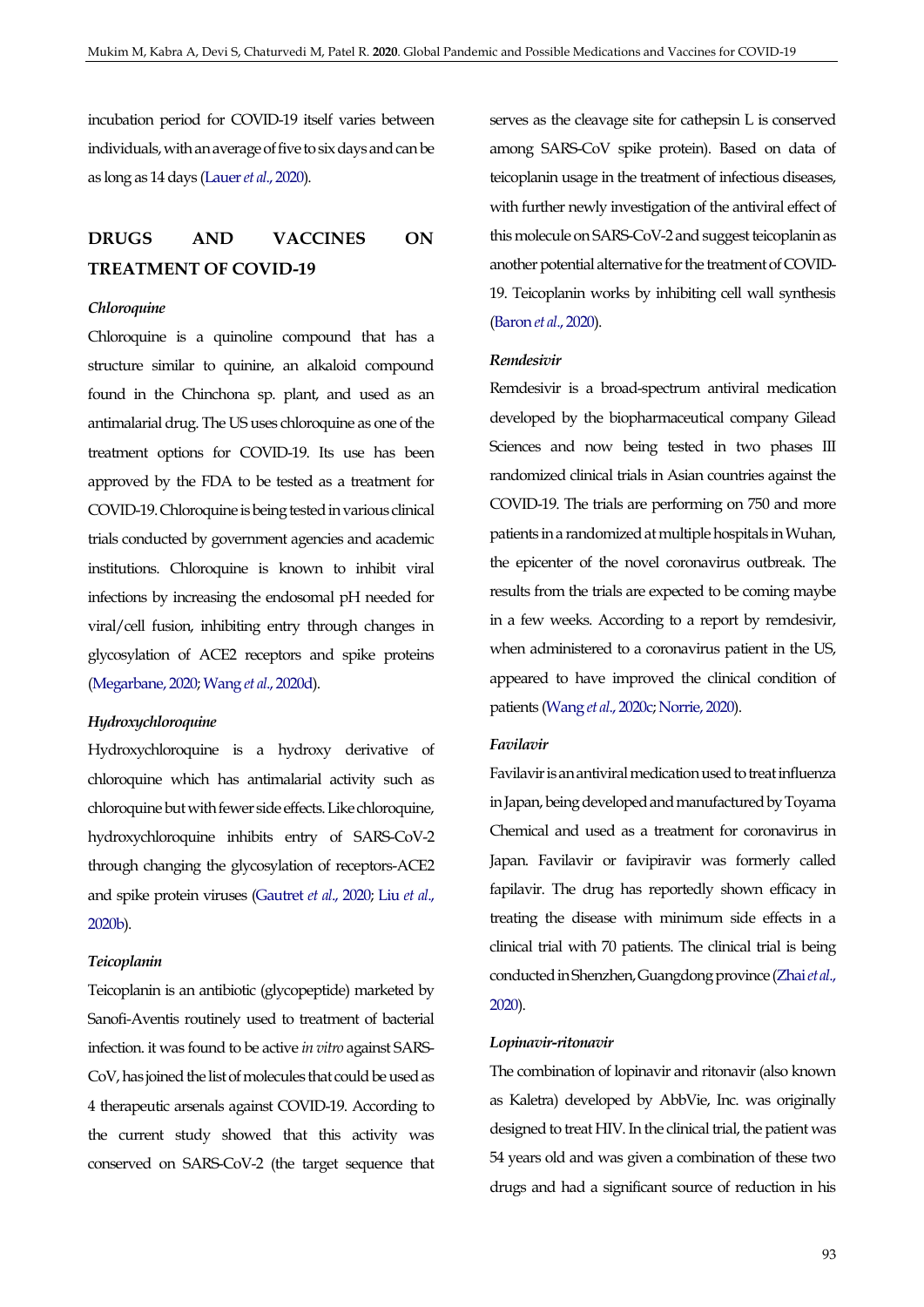incubation period for COVID-19 itself varies between individuals, with an average of five to six days and can be as long as 14 days [\(Lauer](#page-10-7) *et al*., 2020).

# **DRUGS AND VACCINES ON TREATMENT OF COVID-19**

#### *Chloroquine*

Chloroquine is a quinoline compound that has a structure similar to quinine, an alkaloid compound found in the Chinchona sp. plant, and used as an antimalarial drug. The US uses chloroquine as one of the treatment options for COVID-19. Its use has been approved by the FDA to be tested as a treatment for COVID-19. Chloroquine is being tested in various clinical trials conducted by government agencies and academic institutions. Chloroquine is known to inhibit viral infections by increasing the endosomal pH needed for viral/cell fusion, inhibiting entry through changes in glycosylation of ACE2 receptors and spike proteins [\(Megarbane, 2020;](#page-10-8) Wang *et al*[., 2020d\)](#page-12-6).

## *Hydroxychloroquine*

Hydroxychloroquine is a hydroxy derivative of chloroquine which has antimalarial activity such as chloroquine but with fewer side effects. Like chloroquine, hydroxychloroquine inhibits entry of SARS-CoV-2 through changing the glycosylation of receptors-ACE2 and spike protein viruses [\(Gautret](#page-9-4) *et al*., 2020[; Liu](#page-10-9) *et al*., [2020b\)](#page-10-9).

#### *Teicoplanin*

Teicoplanin is an antibiotic (glycopeptide) marketed by Sanofi-Aventis routinely used to treatment of bacterial infection. it was found to be active *in vitro* against SARS-CoV, has joined the list of molecules that could be used as 4 therapeutic arsenals against COVID-19. According to the current study showed that this activity was conserved on SARS-CoV-2 (the target sequence that serves as the cleavage site for cathepsin L is conserved among SARS-CoV spike protein). Based on data of teicoplanin usage in the treatment of infectious diseases, with further newly investigation of the antiviral effect of this molecule on SARS-CoV-2 and suggest teicoplanin as another potential alternative for the treatment of COVID-19. Teicoplanin works by inhibiting cell wall synthesis [\(Baron](#page-9-5) *et al*., 2020).

#### *Remdesivir*

Remdesivir is a broad-spectrum antiviral medication developed by the biopharmaceutical company Gilead Sciences and now being tested in two phases III randomized clinical trials in Asian countries against the COVID-19. The trials are performing on 750 and more patients in a randomized at multiple hospitals in Wuhan, the epicenter of the novel coronavirus outbreak. The results from the trials are expected to be coming maybe in a few weeks. According to a report by remdesivir, when administered to a coronavirus patient in the US, appeared to have improved the clinical condition of patients (Wang *et al*[., 2020c;](#page-11-7) [Norrie, 2020\)](#page-10-10).

## *Favilavir*

Favilavir is an antiviral medication used to treat influenza in Japan, being developed and manufactured by Toyama Chemical and used as a treatment for coronavirus in Japan. Favilavir or favipiravir was formerly called fapilavir. The drug has reportedly shown efficacy in treating the disease with minimum side effects in a clinical trial with 70 patients. The clinical trial is being conducted in Shenzhen, Guangdong province [\(Zhai](#page-12-7) *et al*., [2020\)](#page-12-7).

#### *Lopinavir-ritonavir*

The combination of lopinavir and ritonavir (also known as Kaletra) developed by AbbVie, Inc. was originally designed to treat HIV. In the clinical trial, the patient was 54 years old and was given a combination of these two drugs and had a significant source of reduction in his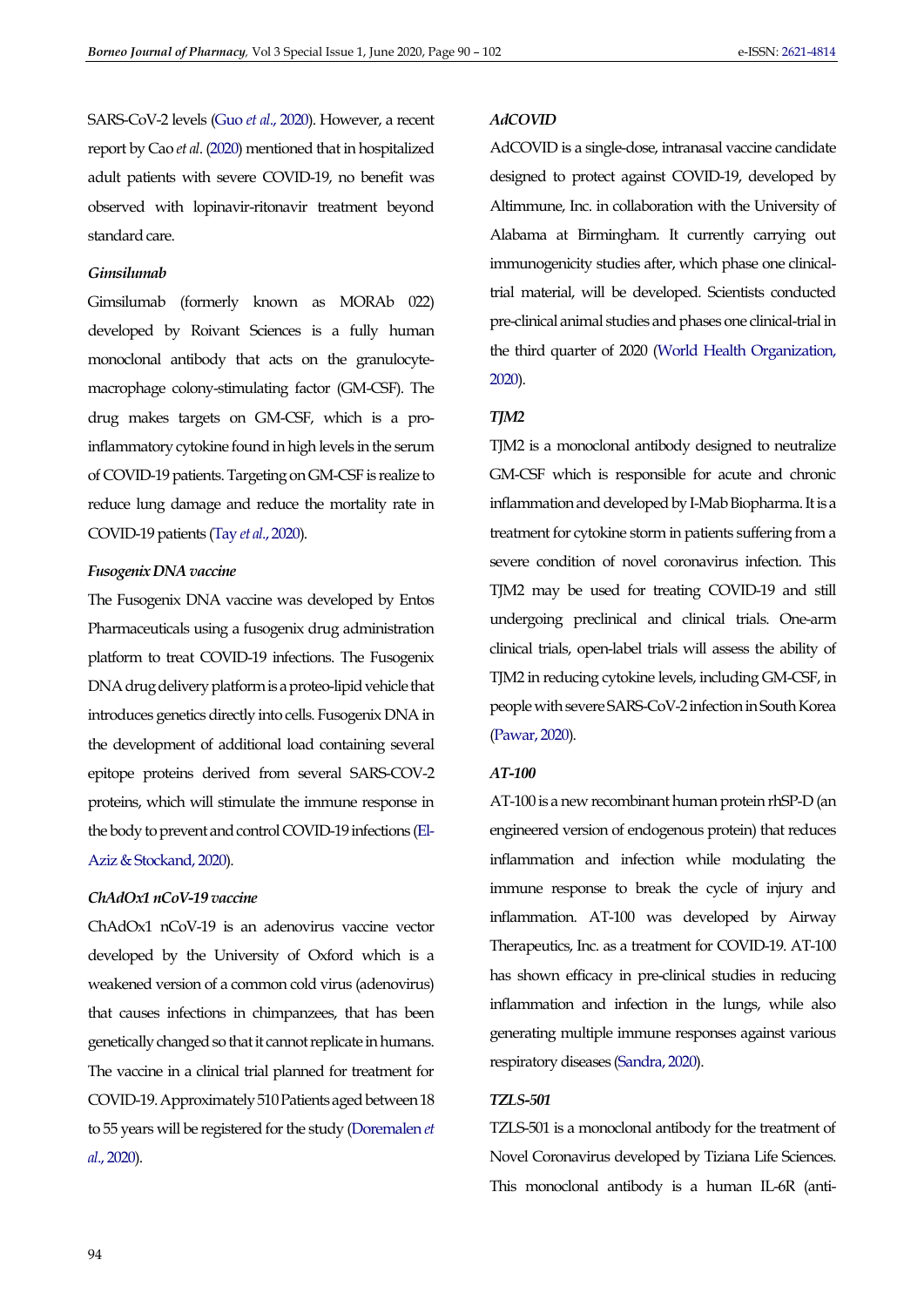SARS-CoV-2 levels (Guo *et al*[., 2020\)](#page-10-11). However, a recent report by Cao *et al*. [\(2020\)](#page-9-6) mentioned that in hospitalized adult patients with severe COVID-19, no benefit was observed with lopinavir-ritonavir treatment beyond standard care.

## *Gimsilumab*

Gimsilumab (formerly known as MORAb 022) developed by Roivant Sciences is a fully human monoclonal antibody that acts on the granulocytemacrophage colony-stimulating factor (GM-CSF). The drug makes targets on GM-CSF, which is a proinflammatory cytokine found in high levels in the serum of COVID-19 patients. Targeting on GM-CSF is realize to reduce lung damage and reduce the mortality rate in COVID-19 patients (Tay *et al*[., 2020\)](#page-11-8).

## *Fusogenix DNA vaccine*

The Fusogenix DNA vaccine was developed by Entos Pharmaceuticals using a fusogenix drug administration platform to treat COVID-19 infections. The Fusogenix DNA drug delivery platform is a proteo-lipid vehicle that introduces genetics directly into cells. Fusogenix DNA in the development of additional load containing several epitope proteins derived from several SARS-COV-2 proteins, which will stimulate the immune response in the body to prevent and control COVID-19 infections [\(El-](#page-9-7)[Aziz & Stockand, 2020\)](#page-9-7).

#### *ChAdOx1 nCoV-19 vaccine*

ChAdOx1 nCoV-19 is an adenovirus vaccine vector developed by the University of Oxford which is a weakened version of a common cold virus (adenovirus) that causes infections in chimpanzees, that has been genetically changed so that it cannot replicate in humans. The vaccine in a clinical trial planned for treatment for COVID-19. Approximately 510 Patients aged between 18 to 55 years will be registered for the study [\(Doremalen](#page-9-8) *et al*[., 2020\)](#page-9-8).

## *AdCOVID*

AdCOVID is a single-dose, intranasal vaccine candidate designed to protect against COVID-19, developed by Altimmune, Inc. in collaboration with the University of Alabama at Birmingham. It currently carrying out immunogenicity studies after, which phase one clinicaltrial material, will be developed. Scientists conducted pre-clinical animal studies and phases one clinical-trial in the third quarter of 2020 [\(World Health Organization,](#page-12-8)  [2020\)](#page-12-8).

#### *TJM2*

TJM2 is a monoclonal antibody designed to neutralize GM-CSF which is responsible for acute and chronic inflammation and developed by I-Mab Biopharma. It is a treatment for cytokine storm in patients suffering from a severe condition of novel coronavirus infection. This TJM2 may be used for treating COVID-19 and still undergoing preclinical and clinical trials. One-arm clinical trials, open-label trials will assess the ability of TJM2 in reducing cytokine levels, including GM-CSF, in people with severe SARS-CoV-2 infection in South Korea [\(Pawar, 2020\)](#page-11-9).

### *AT-100*

AT-100 is a new recombinant human protein rhSP-D (an engineered version of endogenous protein) that reduces inflammation and infection while modulating the immune response to break the cycle of injury and inflammation. AT-100 was developed by Airway Therapeutics, Inc. as a treatment for COVID-19. AT-100 has shown efficacy in pre-clinical studies in reducing inflammation and infection in the lungs, while also generating multiple immune responses against various respiratory diseases [\(Sandra, 2020\)](#page-11-10).

## *TZLS-501*

TZLS-501 is a monoclonal antibody for the treatment of Novel Coronavirus developed by Tiziana Life Sciences. This monoclonal antibody is a human IL-6R (anti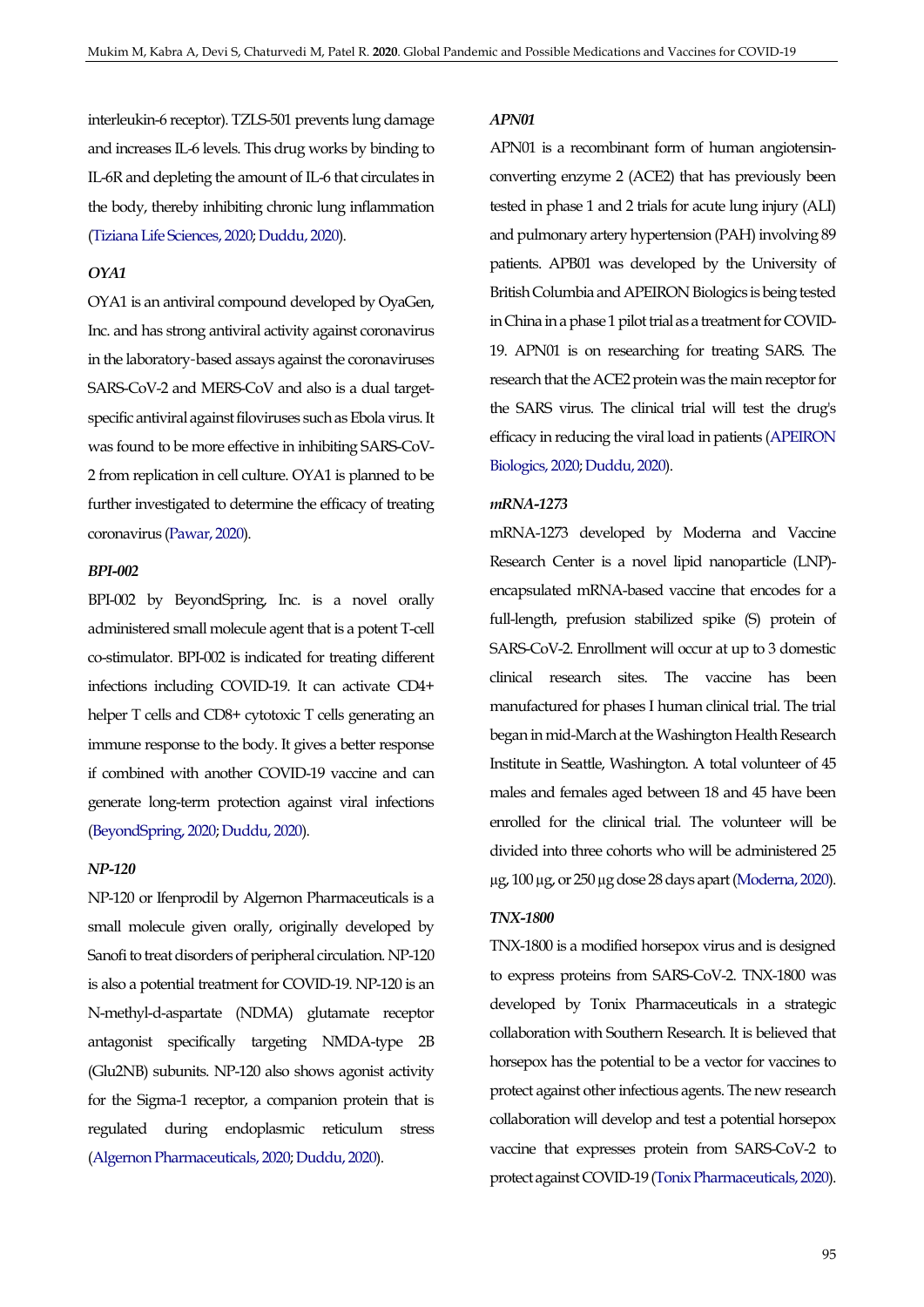interleukin-6 receptor). TZLS-501 prevents lung damage and increases IL-6 levels. This drug works by binding to IL-6R and depleting the amount of IL-6 that circulates in the body, thereby inhibiting chronic lung inflammation [\(Tiziana Life Sciences, 2020;](#page-11-11) [Duddu, 2020\)](#page-9-9).

### *OYA1*

OYA1 is an antiviral compound developed by OyaGen, Inc. and has strong antiviral activity against coronavirus in the laboratory-based assays against the coronaviruses SARS-CoV-2 and MERS-CoV and also is a dual targetspecific antiviral against filoviruses such as Ebola virus. It was found to be more effective in inhibiting SARS-CoV-2 from replication in cell culture. OYA1 is planned to be further investigated to determine the efficacy of treating coronavirus [\(Pawar, 2020\)](#page-11-9).

# *BPI-002*

BPI-002 by BeyondSpring, Inc. is a novel orally administered small molecule agent that is a potent T-cell co-stimulator. BPI-002 is indicated for treating different infections including COVID-19. It can activate CD4+ helper T cells and CD8+ cytotoxic T cells generating an immune response to the body. It gives a better response if combined with another COVID-19 vaccine and can generate long-term protection against viral infections [\(BeyondSpring, 2020;](#page-9-10) [Duddu, 2020\)](#page-9-9).

## *NP-120*

NP-120 or Ifenprodil by Algernon Pharmaceuticals is a small molecule given orally, originally developed by Sanofi to treat disorders of peripheral circulation. NP-120 is also a potential treatment for COVID-19. NP-120 is an N-methyl-d-aspartate (NDMA) glutamate receptor antagonist specifically targeting NMDA-type 2B (Glu2NB) subunits. NP-120 also shows agonist activity for the Sigma-1 receptor, a companion protein that is regulated during endoplasmic reticulum stress [\(Algernon Pharmaceuticals, 2020;](#page-8-1) [Duddu, 2020\)](#page-9-9).

## *APN01*

APN01 is a recombinant form of human angiotensinconverting enzyme 2 (ACE2) that has previously been tested in phase 1 and 2 trials for acute lung injury (ALI) and pulmonary artery hypertension (PAH) involving 89 patients. APB01 was developed by the University of British Columbia and APEIRON Biologics is being tested in China in a phase 1 pilot trial as a treatment for COVID-19. APN01 is on researching for treating SARS. The research that the ACE2 protein was the main receptor for the SARS virus. The clinical trial will test the drug's efficacy in reducing the viral load in patients [\(APEIRON](#page-8-2)  [Biologics, 2020;](#page-8-2) [Duddu, 2020\)](#page-9-9).

#### *mRNA-1273*

mRNA-1273 developed by Moderna and Vaccine Research Center is a novel lipid nanoparticle (LNP) encapsulated mRNA-based vaccine that encodes for a full-length, prefusion stabilized spike (S) protein of SARS-CoV-2. Enrollment will occur at up to 3 domestic clinical research sites. The vaccine has been manufactured for phases I human clinical trial. The trial began in mid-March at the Washington Health Research Institute in Seattle, Washington. A total volunteer of 45 males and females aged between 18 and 45 have been enrolled for the clinical trial. The volunteer will be divided into three cohorts who will be administered 25 µg, 100 µg, or 250 µg dose 28 days apart [\(Moderna, 2020\)](#page-10-12).

#### *TNX-1800*

TNX-1800 is a modified horsepox virus and is designed to express proteins from SARS-CoV-2. TNX-1800 was developed by Tonix Pharmaceuticals in a strategic collaboration with Southern Research. It is believed that horsepox has the potential to be a vector for vaccines to protect against other infectious agents. The new research collaboration will develop and test a potential horsepox vaccine that expresses protein from SARS-CoV-2 to protect against COVID-19 [\(Tonix Pharmaceuticals, 2020\)](#page-11-12).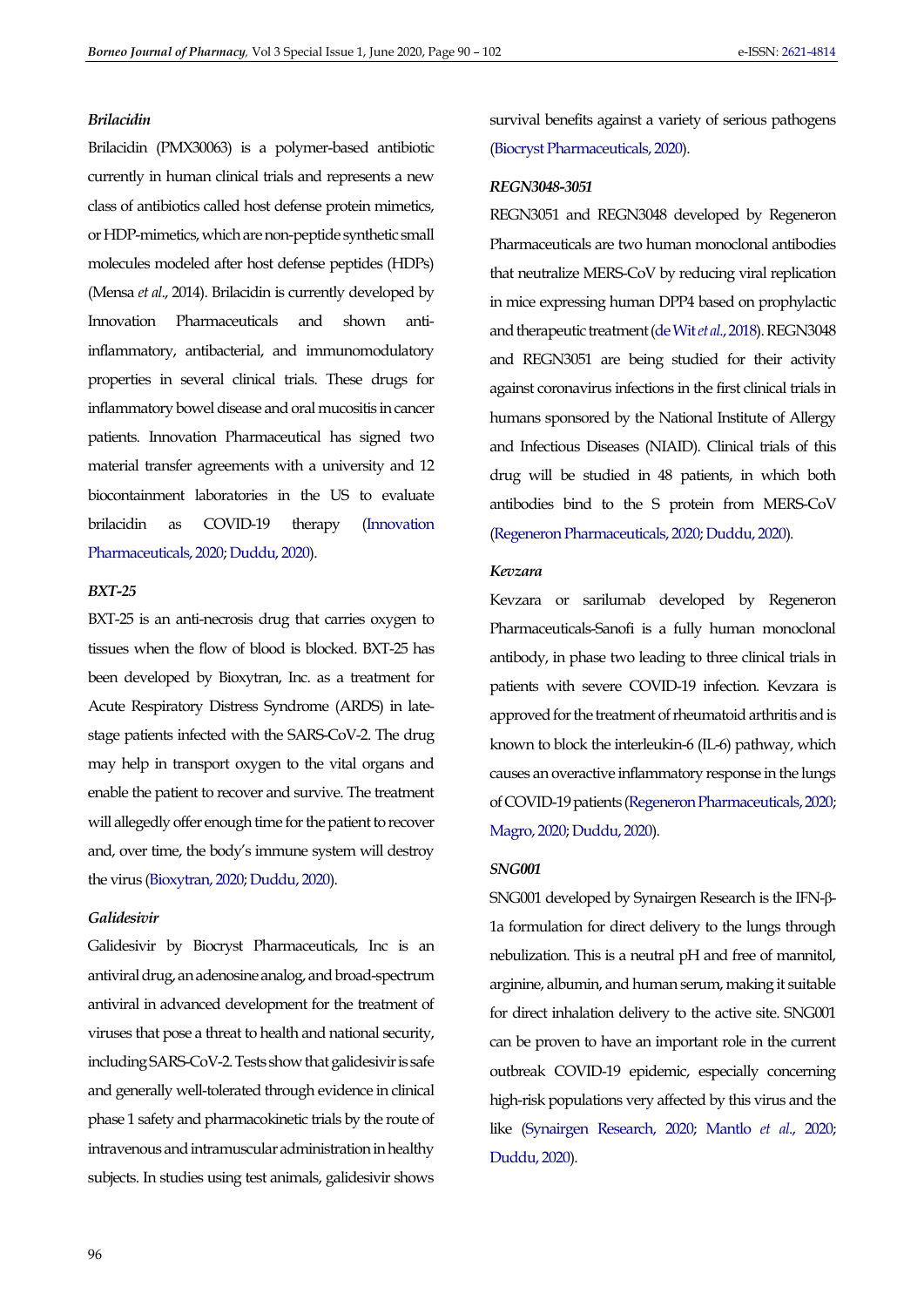#### *Brilacidin*

Brilacidin (PMX30063) is a polymer-based antibiotic currently in human clinical trials and represents a new class of antibiotics called host defense protein mimetics, or HDP-mimetics, which are non-peptide synthetic small molecules modeled after host defense peptides (HDPs) (Mensa *et al*., 2014). Brilacidin is currently developed by Innovation Pharmaceuticals and shown antiinflammatory, antibacterial, and immunomodulatory properties in several clinical trials. These drugs for inflammatory bowel disease and oral mucositis in cancer patients. Innovation Pharmaceutical has signed two material transfer agreements with a university and 12 biocontainment laboratories in the US to evaluate brilacidin as COVID-19 therapy [\(Innovation](#page-10-13)  [Pharmaceuticals, 2020;](#page-10-13) [Duddu, 2020\)](#page-9-9).

#### *BXT-25*

BXT-25 is an anti-necrosis drug that carries oxygen to tissues when the flow of blood is blocked. BXT-25 has been developed by Bioxytran, Inc. as a treatment for Acute Respiratory Distress Syndrome (ARDS) in latestage patients infected with the SARS-CoV-2. The drug may help in transport oxygen to the vital organs and enable the patient to recover and survive. The treatment will allegedly offer enough time for the patient to recover and, over time, the body's immune system will destroy the virus [\(Bioxytran, 2020;](#page-9-11) [Duddu, 2020\)](#page-9-9).

#### *Galidesivir*

Galidesivir by Biocryst Pharmaceuticals, Inc is an antiviral drug, an adenosine analog, and broad-spectrum antiviral in advanced development for the treatment of viruses that pose a threat to health and national security, including SARS-CoV-2. Tests show that galidesivir is safe and generally well-tolerated through evidence in clinical phase 1 safety and pharmacokinetic trials by the route of intravenous and intramuscular administration in healthy subjects. In studies using test animals, galidesivir shows

survival benefits against a variety of serious pathogens [\(Biocryst Pharmaceuticals, 2020\)](#page-9-12).

#### *REGN3048-3051*

REGN3051 and REGN3048 developed by Regeneron Pharmaceuticals are two human monoclonal antibodies that neutralize MERS-CoV by reducing viral replication in mice expressing human DPP4 based on prophylactic and therapeutic treatment [\(de Wit](#page-12-9) *et al*., 2018). REGN3048 and REGN3051 are being studied for their activity against coronavirus infections in the first clinical trials in humans sponsored by the National Institute of Allergy and Infectious Diseases (NIAID). Clinical trials of this drug will be studied in 48 patients, in which both antibodies bind to the S protein from MERS-CoV [\(Regeneron Pharmaceuticals, 2020;](#page-11-13) [Duddu, 2020\)](#page-9-9).

## *Kevzara*

Kevzara or sarilumab developed by Regeneron Pharmaceuticals-Sanofi is a fully human monoclonal antibody, in phase two leading to three clinical trials in patients with severe COVID-19 infection. Kevzara is approved for the treatment of rheumatoid arthritis and is known to block the interleukin-6 (IL-6) pathway, which causes an overactive inflammatory response in the lungs of COVID-19 patients [\(Regeneron Pharmaceuticals, 2020;](#page-11-13)  [Magro, 2020;](#page-10-14) [Duddu, 2020\)](#page-9-9).

## *SNG001*

SNG001 developed by Synairgen Research is the IFN-β-1a formulation for direct delivery to the lungs through nebulization. This is a neutral pH and free of mannitol, arginine, albumin, and human serum, making it suitable for direct inhalation delivery to the active site. SNG001 can be proven to have an important role in the current outbreak COVID-19 epidemic, especially concerning high-risk populations very affected by this virus and the like [\(Synairgen Research, 2020;](#page-11-14) [Mantlo](#page-10-15) *et al*., 2020; [Duddu, 2020\)](#page-9-9).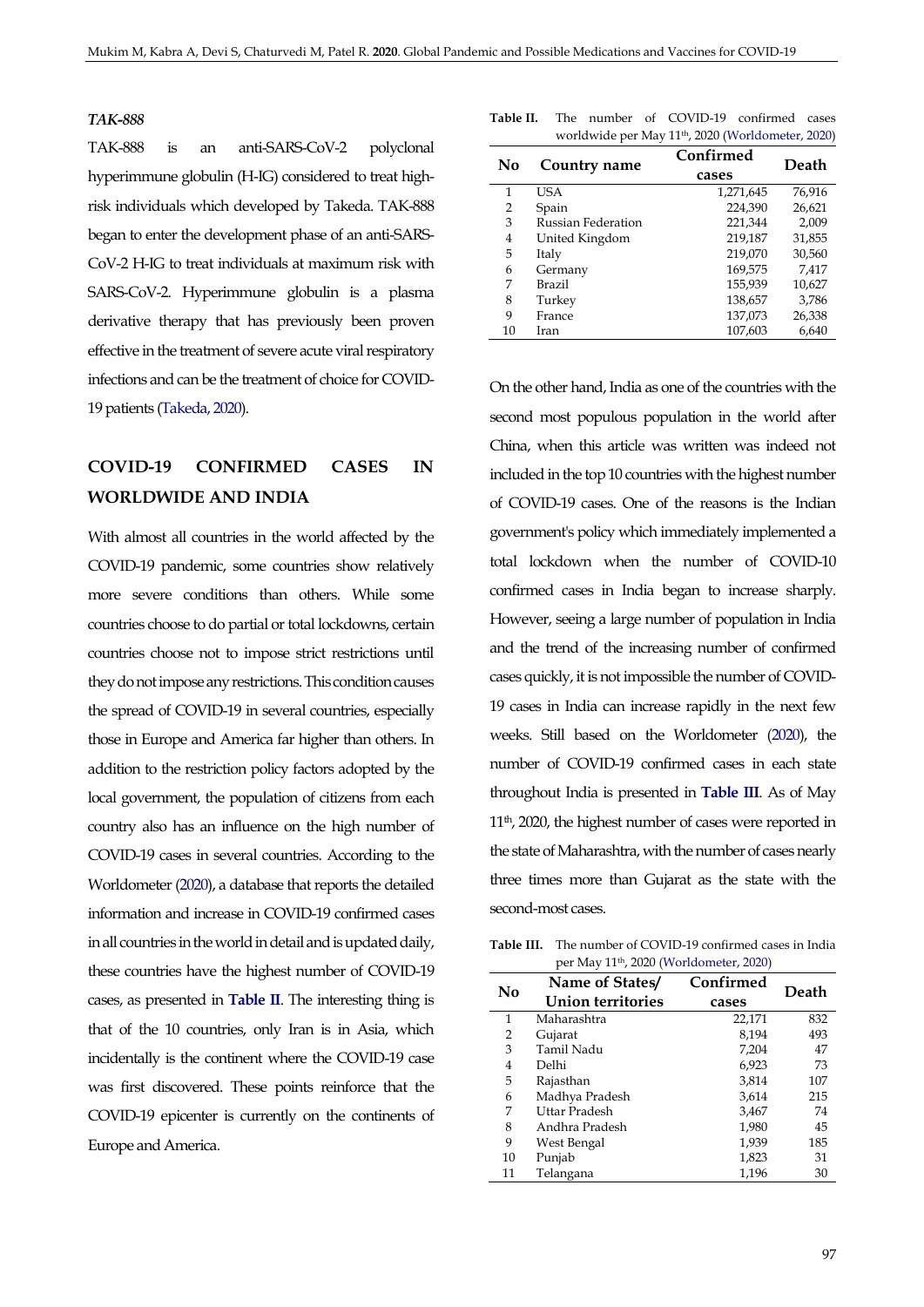### *TAK-888*

TAK-888 is an anti-SARS-CoV-2 polyclonal hyperimmune globulin (H-IG) considered to treat highrisk individuals which developed by Takeda. TAK-888 began to enter the development phase of an anti-SARS-CoV-2 H-IG to treat individuals at maximum risk with SARS-CoV-2. Hyperimmune globulin is a plasma derivative therapy that has previously been proven effective in the treatment of severe acute viral respiratory infections and can be the treatment of choice for COVID-19 patients [\(Takeda, 2020\)](#page-11-15).

# **COVID-19 CONFIRMED CASES IN WORLDWIDE AND INDIA**

With almost all countries in the world affected by the COVID-19 pandemic, some countries show relatively more severe conditions than others. While some countries choose to do partial or total lockdowns, certain countries choose not to impose strict restrictions until they do not impose any restrictions. This condition causes the spread of COVID-19 in several countries, especially those in Europe and America far higher than others. In addition to the restriction policy factors adopted by the local government, the population of citizens from each country also has an influence on the high number of COVID-19 cases in several countries. According to the Worldometer [\(2020\)](#page-12-10), a database that reports the detailed information and increase in COVID-19 confirmed cases in all countries in the world in detail and is updated daily, these countries have the highest number of COVID-19 cases, as presented in **[Table II](#page-7-0)**. The interesting thing is that of the 10 countries, only Iran is in Asia, which incidentally is the continent where the COVID-19 case was first discovered. These points reinforce that the COVID-19 epicenter is currently on the continents of Europe and America.

<span id="page-7-0"></span>

|  |  | <b>Table II.</b> The number of COVID-19 confirmed cases       |  |
|--|--|---------------------------------------------------------------|--|
|  |  | worldwide per May 11 <sup>th</sup> , 2020 (Worldometer, 2020) |  |

| No | Country name       | Confirmed | Death  |  |
|----|--------------------|-----------|--------|--|
|    |                    | cases     |        |  |
| 1  | USA                | 1,271,645 | 76,916 |  |
| 2  | Spain              | 224,390   | 26,621 |  |
| 3  | Russian Federation | 221,344   | 2,009  |  |
| 4  | United Kingdom     | 219,187   | 31,855 |  |
| 5  | Italy              | 219,070   | 30,560 |  |
| 6  | Germany            | 169,575   | 7,417  |  |
| 7  | Brazil             | 155,939   | 10,627 |  |
| 8  | Turkey             | 138,657   | 3,786  |  |
| 9  | France             | 137,073   | 26,338 |  |
| 10 | Iran               | 107,603   | 6,640  |  |

On the other hand, India as one of the countries with the second most populous population in the world after China, when this article was written was indeed not included in the top 10 countries with the highest number of COVID-19 cases. One of the reasons is the Indian government's policy which immediately implemented a total lockdown when the number of COVID-10 confirmed cases in India began to increase sharply. However, seeing a large number of population in India and the trend of the increasing number of confirmed cases quickly, it is not impossible the number of COVID-19 cases in India can increase rapidly in the next few weeks. Still based on the Worldometer [\(2020\)](#page-12-10), the number of COVID-19 confirmed cases in each state throughout India is presented in **[Table III](#page-7-1)**. As of May 11th, 2020, the highest number of cases were reported in the state of Maharashtra, with the number of cases nearly three times more than Gujarat as the state with the second-most cases.

<span id="page-7-1"></span>**Table III.** The number of COVID-19 confirmed cases in India per May 11th, 2020 [\(Worldometer, 2020\)](#page-12-10)

| No | Name of States/   | Confirmed | Death |
|----|-------------------|-----------|-------|
|    | Union territories | cases     |       |
| 1  | Maharashtra       | 22,171    | 832   |
| 2  | Gujarat           | 8.194     | 493   |
| 3  | Tamil Nadu        | 7,204     | 47    |
| 4  | Delhi             | 6,923     | 73    |
| 5  | Rajasthan         | 3,814     | 107   |
| 6  | Madhya Pradesh    | 3,614     | 215   |
| 7  | Uttar Pradesh     | 3,467     | 74    |
| 8  | Andhra Pradesh    | 1,980     | 45    |
| 9  | West Bengal       | 1,939     | 185   |
| 10 | Punjab            | 1,823     | 31    |
| 11 | Telangana         | 1,196     | 30    |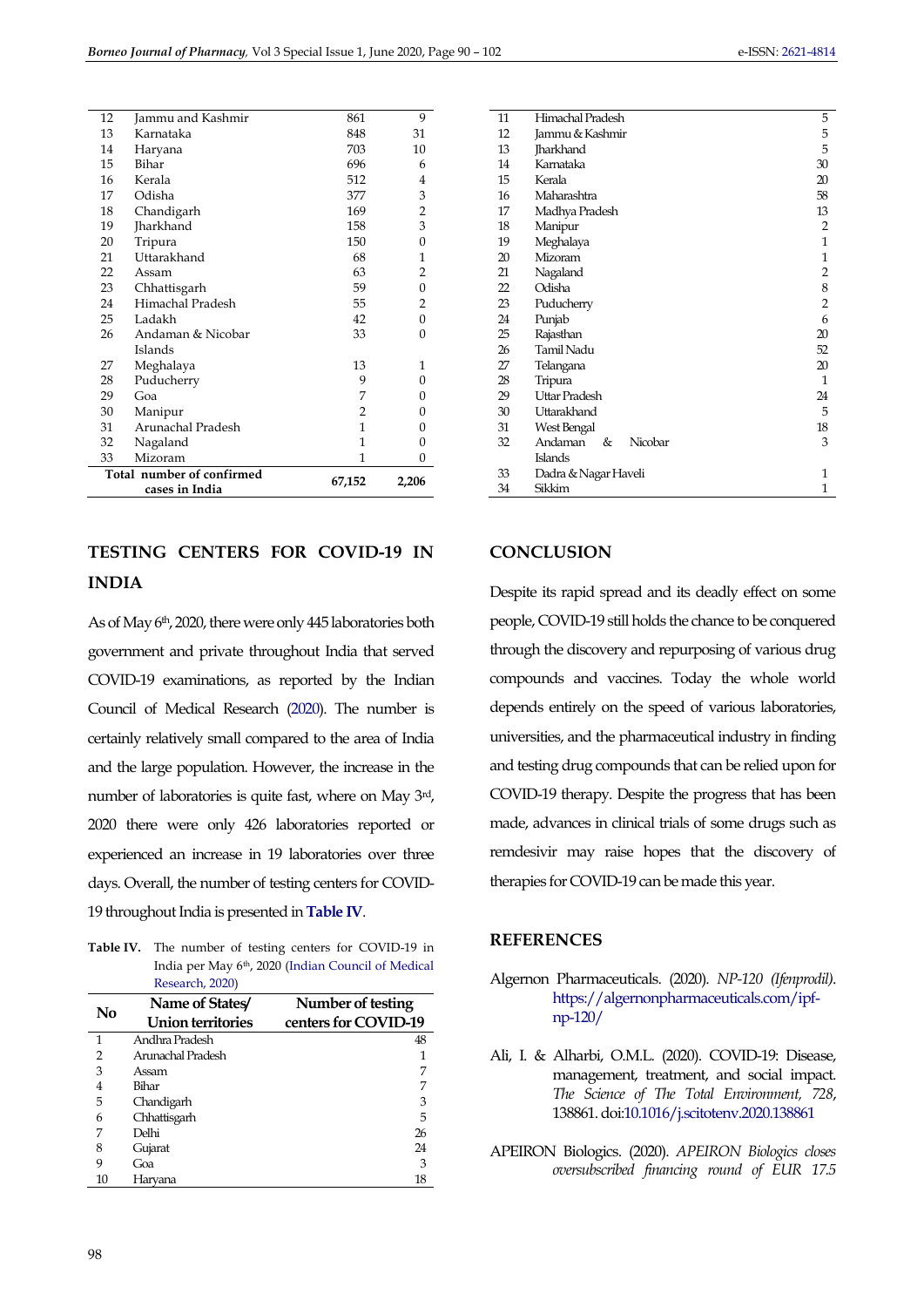| 12                                          | Jammu and Kashmir | 861            | 9            |
|---------------------------------------------|-------------------|----------------|--------------|
| 13                                          | Karnataka         | 848            | 31           |
| 14                                          | Haryana           | 703            | 10           |
| 15                                          | Bihar             | 696            | 6            |
| 16                                          | Kerala            | 512            | 4            |
| 17                                          | Odisha            | 377            | 3            |
| 18                                          | Chandigarh        | 169            | 2            |
| 19                                          | <b>Jharkhand</b>  | 158            | 3            |
| 20                                          | Tripura           | 150            | 0            |
| 21                                          | Uttarakhand       | 68             | $\mathbf{1}$ |
| 22                                          | Assam             | 63             | 2            |
| 23                                          | Chhattisgarh      | 59             | 0            |
| 24                                          | Himachal Pradesh  | 55             | 2            |
| 25                                          | Ladakh            | 42             | 0            |
| 26                                          | Andaman & Nicobar | 33             | 0            |
|                                             | Islands           |                |              |
| 27                                          | Meghalaya         | 13             | 1            |
| 28                                          | Puducherry        | 9              | 0            |
| 29                                          | Goa               | 7              | 0            |
| 30                                          | Manipur           | $\overline{2}$ | 0            |
| 31                                          | Arunachal Pradesh | 1              | 0            |
| 32                                          | Nagaland          | 1              | 0            |
| 33                                          | Mizoram           | 1              | 0            |
| Total number of confirmed<br>cases in India |                   | 67,152         | 2,206        |

# **TESTING CENTERS FOR COVID-19 IN INDIA**

As of May 6<sup>th</sup>, 2020, there were only 445 laboratories both government and private throughout India that served COVID-19 examinations, as reported by the Indian Council of Medical Research [\(2020\)](#page-10-13). The number is certainly relatively small compared to the area of India and the large population. However, the increase in the number of laboratories is quite fast, where on May 3<sup>rd</sup>, 2020 there were only 426 laboratories reported or experienced an increase in 19 laboratories over three days. Overall, the number of testing centers for COVID-19 throughout India is presented in **[Table IV](#page-8-3)**.

<span id="page-8-3"></span>**Table IV.** The number of testing centers for COVID-19 in India per May 6th, 2020 [\(Indian Council of Medical](#page-10-13)  [Research, 2020\)](#page-10-13)

| No             | Name of States/<br>Number of testing<br>centers for COVID-19<br><b>Union territories</b> |    |
|----------------|------------------------------------------------------------------------------------------|----|
| 1              | Andhra Pradesh                                                                           | 48 |
| $\overline{2}$ | Arunachal Pradesh                                                                        |    |
| 3              | Assam                                                                                    | 7  |
| 4              | Bihar                                                                                    |    |
| 5              | Chandigarh                                                                               | 3  |
| 6              | Chhattisgarh                                                                             | 5  |
|                | Delhi                                                                                    | 26 |
| 8              | Gujarat                                                                                  | 24 |
| 9              | Goa                                                                                      | 3  |
| 10             | Haryana                                                                                  | 18 |

| 11 | Himachal Pradesh        | 5              |
|----|-------------------------|----------------|
| 12 | Jammu & Kashmir         | 5              |
| 13 | <b>Tharkhand</b>        | 5              |
| 14 | Karnataka               | 30             |
| 15 | Kerala                  | 20             |
| 16 | Maharashtra             | 58             |
| 17 | Madhya Pradesh          | 13             |
| 18 | Manipur                 | 2              |
| 19 | Meghalaya               | 1              |
| 20 | Mizoram                 | $\mathbf{1}$   |
| 21 | Nagaland                | 2              |
| 22 | Odisha                  | 8              |
| 23 | Puducherry              | $\overline{2}$ |
| 24 | Punjab                  | 6              |
| 25 | Rajasthan               | 20             |
| 26 | Tamil Nadu              | 52             |
| 27 | Telangana               | 20             |
| 28 | Tripura                 | 1              |
| 29 | Uttar Pradesh           | 24             |
| 30 | Uttarakhand             | 5              |
| 31 | West Bengal             | 18             |
| 32 | Andaman<br>Nicobar<br>& | 3              |
|    | Islands                 |                |
| 33 | Dadra & Nagar Haveli    | 1              |
| 34 | Sikkim                  | 1              |
|    |                         |                |

# **CONCLUSION**

Despite its rapid spread and its deadly effect on some people, COVID-19 still holds the chance to be conquered through the discovery and repurposing of various drug compounds and vaccines. Today the whole world depends entirely on the speed of various laboratories, universities, and the pharmaceutical industry in finding and testing drug compounds that can be relied upon for COVID-19 therapy. Despite the progress that has been made, advances in clinical trials of some drugs such as remdesivir may raise hopes that the discovery of therapies for COVID-19 can be made this year.

## **REFERENCES**

- <span id="page-8-1"></span>Algernon Pharmaceuticals. (2020). *NP-120 (Ifenprodil)*. [https://algernonpharmaceuticals.com/ipf](https://algernonpharmaceuticals.com/ipf-np-120/)[np-120/](https://algernonpharmaceuticals.com/ipf-np-120/)
- <span id="page-8-0"></span>Ali, I. & Alharbi, O.M.L. (2020). COVID-19: Disease, management, treatment, and social impact. *The Science of The Total Environment, 728*, 138861. do[i:10.1016/j.scitotenv.2020.138861](https://dx.doi.org/10.1016/j.scitotenv.2020.138861)
- <span id="page-8-2"></span>APEIRON Biologics. (2020). *APEIRON Biologics closes oversubscribed financing round of EUR 17.5*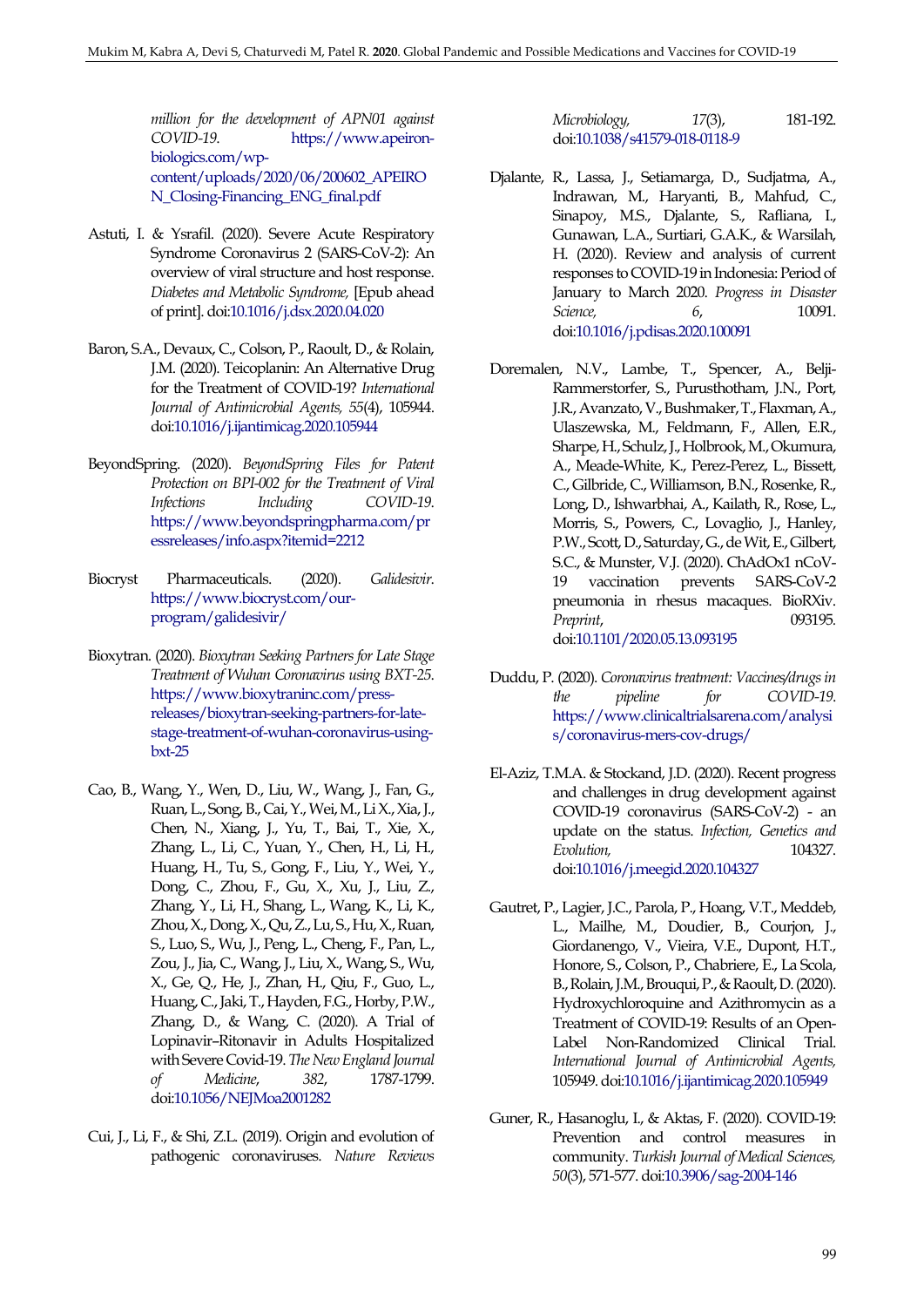*million for the development of APN01 against COVID-19*. [https://www.apeiron](https://www.apeiron-biologics.com/wp-content/uploads/2020/06/200602_APEIRON_Closing-Financing_ENG_final.pdf)[biologics.com/wp](https://www.apeiron-biologics.com/wp-content/uploads/2020/06/200602_APEIRON_Closing-Financing_ENG_final.pdf)[content/uploads/2020/06/200602\\_APEIRO](https://www.apeiron-biologics.com/wp-content/uploads/2020/06/200602_APEIRON_Closing-Financing_ENG_final.pdf) [N\\_Closing-Financing\\_ENG\\_final.pdf](https://www.apeiron-biologics.com/wp-content/uploads/2020/06/200602_APEIRON_Closing-Financing_ENG_final.pdf)

- <span id="page-9-1"></span>Astuti, I. & Ysrafil. (2020). Severe Acute Respiratory Syndrome Coronavirus 2 (SARS-CoV-2): An overview of viral structure and host response. *Diabetes and Metabolic Syndrome,* [Epub ahead of print]. do[i:10.1016/j.dsx.2020.04.020](https://dx.doi.org/10.1016/j.dsx.2020.04.020)
- <span id="page-9-5"></span>Baron, S.A., Devaux, C., Colson, P., Raoult, D., & Rolain, J.M. (2020). Teicoplanin: An Alternative Drug for the Treatment of COVID-19? *International Journal of Antimicrobial Agents, 55*(4), 105944. do[i:10.1016/j.ijantimicag.2020.105944](https://doi.org/10.1016/j.ijantimicag.2020.105944)
- <span id="page-9-10"></span>BeyondSpring. (2020). *BeyondSpring Files for Patent Protection on BPI-002 for the Treatment of Viral Infections Including COVID-19*. [https://www.beyondspringpharma.com/pr](https://www.beyondspringpharma.com/pressreleases/info.aspx?itemid=2212) [essreleases/info.aspx?itemid=2212](https://www.beyondspringpharma.com/pressreleases/info.aspx?itemid=2212)
- <span id="page-9-12"></span>Biocryst Pharmaceuticals. (2020). *Galidesivir*. [https://www.biocryst.com/our](https://www.biocryst.com/our-program/galidesivir/)[program/galidesivir/](https://www.biocryst.com/our-program/galidesivir/)
- <span id="page-9-11"></span>Bioxytran. (2020). *Bioxytran Seeking Partners for Late Stage Treatment of Wuhan Coronavirus using BXT-25*. [https://www.bioxytraninc.com/press](https://www.bioxytraninc.com/press-releases/bioxytran-seeking-partners-for-late-stage-treatment-of-wuhan-coronavirus-using-bxt-25)[releases/bioxytran-seeking-partners-for-late](https://www.bioxytraninc.com/press-releases/bioxytran-seeking-partners-for-late-stage-treatment-of-wuhan-coronavirus-using-bxt-25)[stage-treatment-of-wuhan-coronavirus-using](https://www.bioxytraninc.com/press-releases/bioxytran-seeking-partners-for-late-stage-treatment-of-wuhan-coronavirus-using-bxt-25)[bxt-25](https://www.bioxytraninc.com/press-releases/bioxytran-seeking-partners-for-late-stage-treatment-of-wuhan-coronavirus-using-bxt-25)
- <span id="page-9-6"></span>Cao, B., Wang, Y., Wen, D., Liu, W., Wang, J., Fan, G., Ruan, L., Song, B., Cai, Y., Wei, M., Li X., Xia, J., Chen, N., Xiang, J., Yu, T., Bai, T., Xie, X., Zhang, L., Li, C., Yuan, Y., Chen, H., Li, H., Huang, H., Tu, S., Gong, F., Liu, Y., Wei, Y., Dong, C., Zhou, F., Gu, X., Xu, J., Liu, Z., Zhang, Y., Li, H., Shang, L., Wang, K., Li, K., Zhou, X., Dong, X., Qu, Z., Lu, S., Hu, X., Ruan, S., Luo, S., Wu, J., Peng, L., Cheng, F., Pan, L., Zou, J., Jia, C., Wang, J., Liu, X., Wang, S., Wu, X., Ge, Q., He, J., Zhan, H., Qiu, F., Guo, L., Huang, C., Jaki, T., Hayden, F.G., Horby, P.W., Zhang, D., & Wang, C. (2020). A Trial of Lopinavir–Ritonavir in Adults Hospitalized with Severe Covid-19. *The New England Journal of Medicine*, *382*, 1787-1799. do[i:10.1056/NEJMoa2001282](http://doi.org/10.1056/NEJMoa2001282)
- <span id="page-9-0"></span>Cui, J., Li, F., & Shi, Z.L. (2019). Origin and evolution of pathogenic coronaviruses. *Nature Reviews*

*Microbiology, 17*(3), 181-192. do[i:10.1038/s41579-018-0118-9](https://doi.org/10.1038/s41579-018-0118-9)

- <span id="page-9-2"></span>Djalante, R., Lassa, J., Setiamarga, D., Sudjatma, A., Indrawan, M., Haryanti, B., Mahfud, C., Sinapoy, M.S., Djalante, S., Rafliana, I., Gunawan, L.A., Surtiari, G.A.K., & Warsilah, H. (2020). Review and analysis of current responses to COVID-19 in Indonesia: Period of January to March 2020. *Progress in Disaster Science, 6*, 10091. do[i:10.1016/j.pdisas.2020.100091](https://dx.doi.org/10.1016/j.pdisas.2020.100091)
- <span id="page-9-8"></span>Doremalen, N.V., Lambe, T., Spencer, A., Belji-Rammerstorfer, S., Purusthotham, J.N., Port, J.R., Avanzato, V., Bushmaker, T., Flaxman, A., Ulaszewska, M., Feldmann, F., Allen, E.R., Sharpe, H., Schulz, J., Holbrook, M., Okumura, A., Meade-White, K., Perez-Perez, L., Bissett, C., Gilbride, C., Williamson, B.N., Rosenke, R., Long, D., Ishwarbhai, A., Kailath, R., Rose, L., Morris, S., Powers, C., Lovaglio, J., Hanley, P.W., Scott, D., Saturday, G., de Wit, E., Gilbert, S.C., & Munster, V.J. (2020). ChAdOx1 nCoV-19 vaccination prevents SARS-CoV-2 pneumonia in rhesus macaques. BioRXiv. *Preprint*, 093195*.* do[i:10.1101/2020.05.13.093195](https://doi.org/10.1101/2020.05.13.093195)
- <span id="page-9-9"></span>Duddu, P. (2020). *Coronavirus treatment: Vaccines/drugs in the pipeline for COVID-19*. [https://www.clinicaltrialsarena.com/analysi](https://www.clinicaltrialsarena.com/analysis/coronavirus-mers-cov-drugs/) [s/coronavirus-mers-cov-drugs/](https://www.clinicaltrialsarena.com/analysis/coronavirus-mers-cov-drugs/)
- <span id="page-9-7"></span>El-Aziz, T.M.A. & Stockand, J.D. (2020). Recent progress and challenges in drug development against COVID-19 coronavirus (SARS-CoV-2) - an update on the status. *Infection, Genetics and Evolution,* 104327. do[i:10.1016/j.meegid.2020.104327](https://dx.doi.org/10.1016/j.meegid.2020.104327)
- <span id="page-9-4"></span>Gautret, P., Lagier, J.C., Parola, P., Hoang, V.T., Meddeb, L., Mailhe, M., Doudier, B., Courjon, J., Giordanengo, V., Vieira, V.E., Dupont, H.T., Honore, S., Colson, P., Chabriere, E., La Scola, B., Rolain, J.M., Brouqui, P., & Raoult, D. (2020). Hydroxychloroquine and Azithromycin as a Treatment of COVID-19: Results of an Open-Label Non-Randomized Clinical Trial. *International Journal of Antimicrobial Agents,* 105949. do[i:10.1016/j.ijantimicag.2020.105949](https://doi.org/10.1016/j.ijantimicag.2020.105949)
- <span id="page-9-3"></span>Guner, R., Hasanoglu, I., & Aktas, F. (2020). COVID-19: Prevention and control measures in community. *Turkish Journal of Medical Sciences, 50*(3), 571-577. do[i:10.3906/sag-2004-146](https://dx.doi.org/10.3906/sag-2004-146)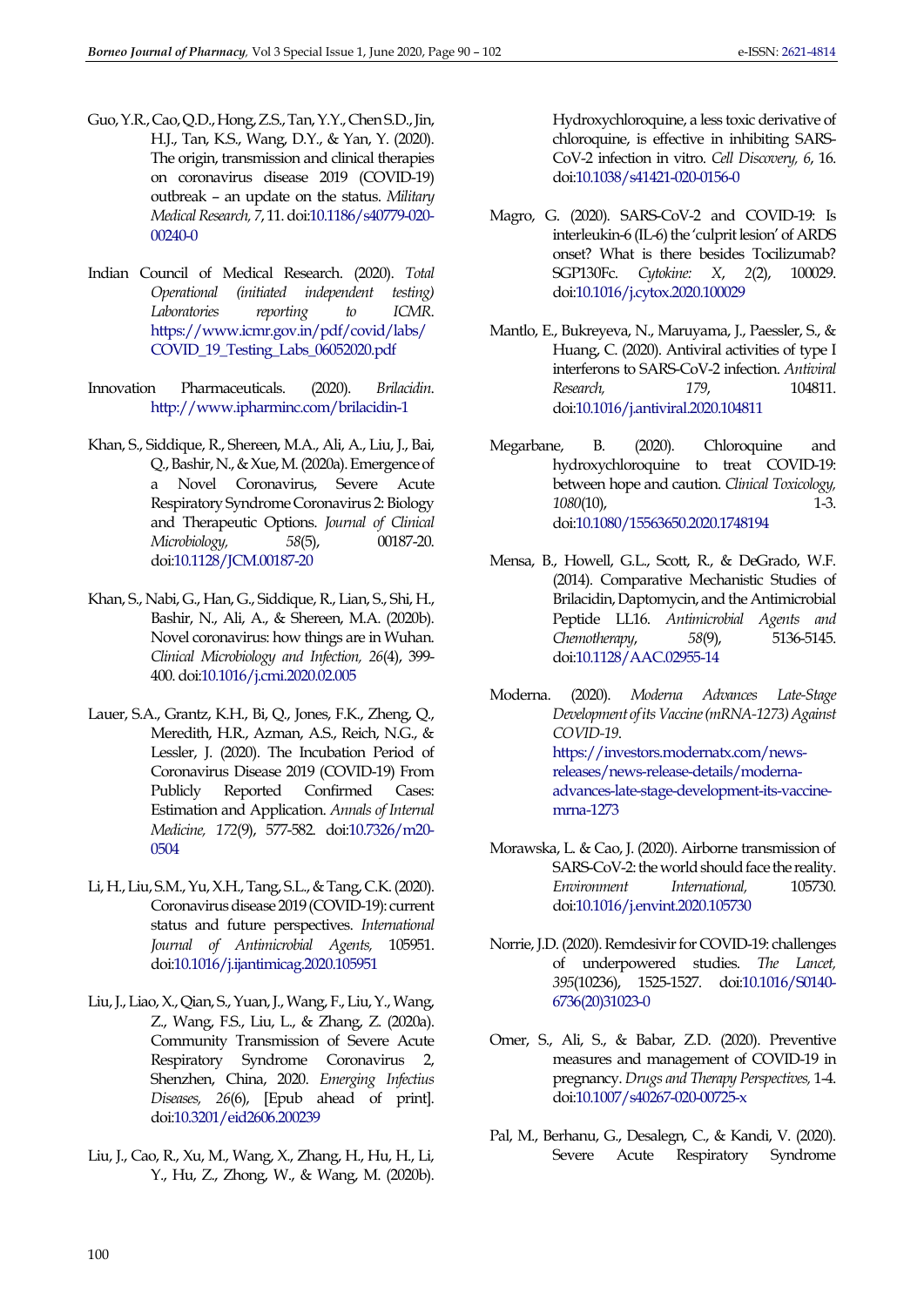- <span id="page-10-11"></span>Guo, Y.R., Cao, Q.D., Hong, Z.S., Tan, Y.Y., Chen S.D., Jin, H.J., Tan, K.S., Wang, D.Y., & Yan, Y. (2020). The origin, transmission and clinical therapies on coronavirus disease 2019 (COVID-19) outbreak – an update on the status. *Military Medical Research, 7*, 11. do[i:10.1186/s40779-020-](https://doi.org/10.1186/s40779-020-00240-0) [00240-0](https://doi.org/10.1186/s40779-020-00240-0)
- <span id="page-10-13"></span>Indian Council of Medical Research. (2020). *Total Operational (initiated independent testing) Laboratories reporting to ICMR*. [https://www.icmr.gov.in/pdf/covid/labs/](https://www.icmr.gov.in/pdf/covid/labs/COVID_19_Testing_Labs_06052020.pdf) [COVID\\_19\\_Testing\\_Labs\\_06052020.pdf](https://www.icmr.gov.in/pdf/covid/labs/COVID_19_Testing_Labs_06052020.pdf)
- Innovation Pharmaceuticals. (2020). *Brilacidin*. <http://www.ipharminc.com/brilacidin-1>
- <span id="page-10-1"></span>Khan, S., Siddique, R., Shereen, M.A., Ali, A., Liu, J., Bai, Q., Bashir, N., & Xue, M. (2020a). Emergence of a Novel Coronavirus, Severe Acute Respiratory Syndrome Coronavirus 2: Biology and Therapeutic Options. *Journal of Clinical Microbiology, 58*(5), 00187-20. do[i:10.1128/JCM.00187-20](https://dx.doi.org/10.1128/JCM.00187-20)
- <span id="page-10-2"></span>Khan, S., Nabi, G., Han, G., Siddique, R., Lian, S., Shi, H., Bashir, N., Ali, A., & Shereen, M.A. (2020b). Novel coronavirus: how things are in Wuhan. *Clinical Microbiology and Infection, 26*(4), 399- 400. do[i:10.1016/j.cmi.2020.02.005](https://doi.org/10.1016/j.cmi.2020.02.005)
- <span id="page-10-7"></span>Lauer, S.A., Grantz, K.H., Bi, Q., Jones, F.K., Zheng, Q., Meredith, H.R., Azman, A.S., Reich, N.G., & Lessler, J. (2020). The Incubation Period of Coronavirus Disease 2019 (COVID-19) From Publicly Reported Confirmed Cases: Estimation and Application. *Annals of Internal Medicine, 172*(9), 577-582. do[i:10.7326/m20-](https://doi.org/10.7326/m20-0504) [0504](https://doi.org/10.7326/m20-0504)
- <span id="page-10-0"></span>Li, H., Liu, S.M., Yu, X.H., Tang, S.L., & Tang, C.K. (2020). Coronavirus disease 2019 (COVID-19): current status and future perspectives. *International Journal of Antimicrobial Agents,* 105951. do[i:10.1016/j.ijantimicag.2020.105951](https://dx.doi.org/10.1016/j.ijantimicag.2020.105951)
- <span id="page-10-5"></span>Liu, J., Liao, X., Qian, S., Yuan, J., Wang, F., Liu, Y., Wang, Z., Wang, F.S., Liu, L., & Zhang, Z. (2020a). Community Transmission of Severe Acute Respiratory Syndrome Coronavirus 2, Shenzhen, China, 2020. *Emerging Infectius Diseases, 26*(6), [Epub ahead of print]. do[i:10.3201/eid2606.200239](https://doi.org/10.3201/eid2606.200239)
- <span id="page-10-9"></span>Liu, J., Cao, R., Xu, M., Wang, X., Zhang, H., Hu, H., Li, Y., Hu, Z., Zhong, W., & Wang, M. (2020b).

Hydroxychloroquine, a less toxic derivative of chloroquine, is effective in inhibiting SARS-CoV-2 infection in vitro. *Cell Discovery, 6*, 16. do[i:10.1038/s41421-020-0156-0](https://doi.org/10.1038/s41421-020-0156-0)

- <span id="page-10-14"></span>Magro, G. (2020). SARS-CoV-2 and COVID-19: Is interleukin-6 (IL-6) the 'culprit lesion' of ARDS onset? What is there besides Tocilizumab? SGP130Fc. *Cytokine: X*, *2*(2), 100029. do[i:10.1016/j.cytox.2020.100029](https://doi.org/10.1016/j.cytox.2020.100029)
- <span id="page-10-15"></span>Mantlo, E., Bukreyeva, N., Maruyama, J., Paessler, S., & Huang, C. (2020). Antiviral activities of type I interferons to SARS-CoV-2 infection. *Antiviral Research.* 179. do[i:10.1016/j.antiviral.2020.104811](https://doi.org/10.1016/j.antiviral.2020.104811)
- <span id="page-10-8"></span>Megarbane, B. (2020). Chloroquine and hydroxychloroquine to treat COVID-19: between hope and caution. *Clinical Toxicology, 1080*(10), 1-3. do[i:10.1080/15563650.2020.1748194](https://doi.org/10.1080/15563650.2020.1748194)
- Mensa, B., Howell, G.L., Scott, R., & DeGrado, W.F. (2014). Comparative Mechanistic Studies of Brilacidin, Daptomycin, and the Antimicrobial Peptide LL16. *Antimicrobial Agents and Chemotherapy*, *58*(9), 5136-5145. do[i:10.1128/AAC.02955-14](https://dx.doi.org/10.1128/AAC.02955-14)
- <span id="page-10-12"></span>Moderna. (2020). *Moderna Advances Late-Stage Development of its Vaccine (mRNA-1273) Against COVID-19*. [https://investors.modernatx.com/news](https://investors.modernatx.com/news-releases/news-release-details/moderna-advances-late-stage-development-its-vaccine-mrna-1273)[releases/news-release-details/moderna](https://investors.modernatx.com/news-releases/news-release-details/moderna-advances-late-stage-development-its-vaccine-mrna-1273)[advances-late-stage-development-its-vaccine](https://investors.modernatx.com/news-releases/news-release-details/moderna-advances-late-stage-development-its-vaccine-mrna-1273)[mrna-1273](https://investors.modernatx.com/news-releases/news-release-details/moderna-advances-late-stage-development-its-vaccine-mrna-1273)
- <span id="page-10-6"></span>Morawska, L. & Cao, J. (2020). Airborne transmission of SARS-CoV-2: the world should face the reality. *Environment International,* 105730. do[i:10.1016/j.envint.2020.105730](https://dx.doi.org/10.1016/j.envint.2020.105730)
- <span id="page-10-10"></span>Norrie, J.D. (2020). Remdesivir for COVID-19: challenges of underpowered studies. *The Lancet, 395*(10236), 1525-1527. do[i:10.1016/S0140-](https://doi.org/10.1016/S0140-6736(20)31023-0) [6736\(20\)31023-0](https://doi.org/10.1016/S0140-6736(20)31023-0)
- <span id="page-10-4"></span>Omer, S., Ali, S., & Babar, Z.D. (2020). Preventive measures and management of COVID-19 in pregnancy. *Drugs and Therapy Perspectives,* 1-4. do[i:10.1007/s40267-020-00725-x](https://dx.doi.org/10.1007/s40267-020-00725-x)
- <span id="page-10-3"></span>Pal, M., Berhanu, G., Desalegn, C., & Kandi, V. (2020). Severe Acute Respiratory Syndrome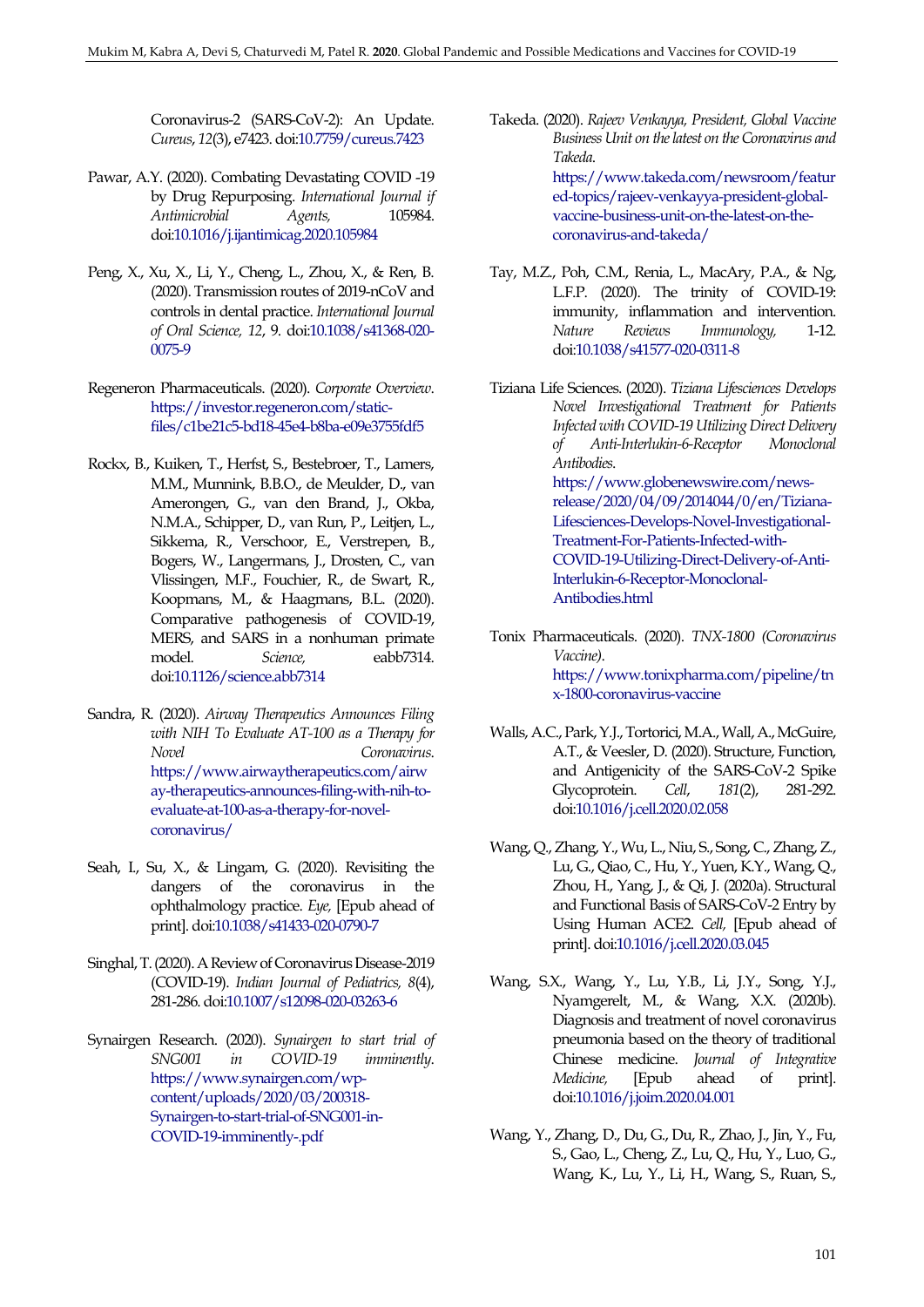Coronavirus-2 (SARS-CoV-2): An Update. *Cureus*, *12*(3), e7423. do[i:10.7759/cureus.7423](https://dx.doi.org/10.7759/cureus.7423)

- <span id="page-11-9"></span>Pawar, A.Y. (2020). Combating Devastating COVID -19 by Drug Repurposing. *International Journal if Antimicrobial Agents,* 105984. do[i:10.1016/j.ijantimicag.2020.105984](https://dx.doi.org/10.1016/j.ijantimicag.2020.105984)
- <span id="page-11-6"></span>Peng, X., Xu, X., Li, Y., Cheng, L., Zhou, X., & Ren, B. (2020). Transmission routes of 2019-nCoV and controls in dental practice. *International Journal of Oral Science, 12*, 9. do[i:10.1038/s41368-020-](https://dx.doi.org/10.1038/s41368-020-0075-9) [0075-9](https://dx.doi.org/10.1038/s41368-020-0075-9)
- <span id="page-11-13"></span>Regeneron Pharmaceuticals. (2020). *Corporate Overview*. [https://investor.regeneron.com/static](https://investor.regeneron.com/static-files/c1be21c5-bd18-45e4-b8ba-e09e3755fdf5)[files/c1be21c5-bd18-45e4-b8ba-e09e3755fdf5](https://investor.regeneron.com/static-files/c1be21c5-bd18-45e4-b8ba-e09e3755fdf5)
- <span id="page-11-0"></span>Rockx, B., Kuiken, T., Herfst, S., Bestebroer, T., Lamers, M.M., Munnink, B.B.O., de Meulder, D., van Amerongen, G., van den Brand, J., Okba, N.M.A., Schipper, D., van Run, P., Leitjen, L., Sikkema, R., Verschoor, E., Verstrepen, B., Bogers, W., Langermans, J., Drosten, C., van Vlissingen, M.F., Fouchier, R., de Swart, R., Koopmans, M., & Haagmans, B.L. (2020). Comparative pathogenesis of COVID-19, MERS, and SARS in a nonhuman primate model. *Science,* eabb7314. do[i:10.1126/science.abb7314](https://dx.doi.org/10.1126/science.abb7314)
- <span id="page-11-10"></span>Sandra, R. (2020). *Airway Therapeutics Announces Filing with NIH To Evaluate AT-100 as a Therapy for Novel Coronavirus*. [https://www.airwaytherapeutics.com/airw](https://www.airwaytherapeutics.com/airway-therapeutics-announces-filing-with-nih-to-evaluate-at-100-as-a-therapy-for-novel-coronavirus/) [ay-therapeutics-announces-filing-with-nih-to](https://www.airwaytherapeutics.com/airway-therapeutics-announces-filing-with-nih-to-evaluate-at-100-as-a-therapy-for-novel-coronavirus/)[evaluate-at-100-as-a-therapy-for-novel](https://www.airwaytherapeutics.com/airway-therapeutics-announces-filing-with-nih-to-evaluate-at-100-as-a-therapy-for-novel-coronavirus/)[coronavirus/](https://www.airwaytherapeutics.com/airway-therapeutics-announces-filing-with-nih-to-evaluate-at-100-as-a-therapy-for-novel-coronavirus/)
- <span id="page-11-3"></span>Seah, I., Su, X., & Lingam, G. (2020). Revisiting the dangers of the coronavirus in the ophthalmology practice. *Eye,* [Epub ahead of print]. do[i:10.1038/s41433-020-0790-7](https://doi.org/10.1038/s41433-020-0790-7)
- <span id="page-11-4"></span>Singhal, T. (2020). A Review of Coronavirus Disease-2019 (COVID-19). *Indian Journal of Pediatrics, 8*(4), 281-286. do[i:10.1007/s12098-020-03263-6](https://dx.doi.org/10.1007/s12098-020-03263-6)
- <span id="page-11-14"></span>Synairgen Research. (2020). *Synairgen to start trial of SNG001 in COVID-19 imminently*. [https://www.synairgen.com/wp](https://www.synairgen.com/wp-content/uploads/2020/03/200318-Synairgen-to-start-trial-of-SNG001-in-COVID-19-imminently-.pdf)[content/uploads/2020/03/200318-](https://www.synairgen.com/wp-content/uploads/2020/03/200318-Synairgen-to-start-trial-of-SNG001-in-COVID-19-imminently-.pdf) [Synairgen-to-start-trial-of-SNG001-in-](https://www.synairgen.com/wp-content/uploads/2020/03/200318-Synairgen-to-start-trial-of-SNG001-in-COVID-19-imminently-.pdf)[COVID-19-imminently-.pdf](https://www.synairgen.com/wp-content/uploads/2020/03/200318-Synairgen-to-start-trial-of-SNG001-in-COVID-19-imminently-.pdf)
- <span id="page-11-15"></span>Takeda. (2020). *Rajeev Venkayya, President, Global Vaccine Business Unit on the latest on the Coronavirus and Takeda*. [https://www.takeda.com/newsroom/featur](https://www.takeda.com/newsroom/featured-topics/rajeev-venkayya-president-global-vaccine-business-unit-on-the-latest-on-the-coronavirus-and-takeda/) [ed-topics/rajeev-venkayya-president-global](https://www.takeda.com/newsroom/featured-topics/rajeev-venkayya-president-global-vaccine-business-unit-on-the-latest-on-the-coronavirus-and-takeda/)[vaccine-business-unit-on-the-latest-on-the](https://www.takeda.com/newsroom/featured-topics/rajeev-venkayya-president-global-vaccine-business-unit-on-the-latest-on-the-coronavirus-and-takeda/)[coronavirus-and-takeda/](https://www.takeda.com/newsroom/featured-topics/rajeev-venkayya-president-global-vaccine-business-unit-on-the-latest-on-the-coronavirus-and-takeda/)
- <span id="page-11-8"></span>Tay, M.Z., Poh, C.M., Renia, L., MacAry, P.A., & Ng, L.F.P. (2020). The trinity of COVID-19: immunity, inflammation and intervention. *Nature Reviews Immunology,* 1-12. do[i:10.1038/s41577-020-0311-8](https://dx.doi.org/10.1038/s41577-020-0311-8)
- <span id="page-11-11"></span>Tiziana Life Sciences. (2020). *Tiziana Lifesciences Develops Novel Investigational Treatment for Patients Infected with COVID-19 Utilizing Direct Delivery of Anti-Interlukin-6-Receptor Monoclonal Antibodies*. [https://www.globenewswire.com/news](https://www.globenewswire.com/news-release/2020/04/09/2014044/0/en/Tiziana-Lifesciences-Develops-Novel-Investigational-Treatment-For-Patients-Infected-with-COVID-19-Utilizing-Direct-Delivery-of-Anti-Interlukin-6-Receptor-Monoclonal-Antibodies.html)[release/2020/04/09/2014044/0/en/Tiziana-](https://www.globenewswire.com/news-release/2020/04/09/2014044/0/en/Tiziana-Lifesciences-Develops-Novel-Investigational-Treatment-For-Patients-Infected-with-COVID-19-Utilizing-Direct-Delivery-of-Anti-Interlukin-6-Receptor-Monoclonal-Antibodies.html)[Lifesciences-Develops-Novel-Investigational-](https://www.globenewswire.com/news-release/2020/04/09/2014044/0/en/Tiziana-Lifesciences-Develops-Novel-Investigational-Treatment-For-Patients-Infected-with-COVID-19-Utilizing-Direct-Delivery-of-Anti-Interlukin-6-Receptor-Monoclonal-Antibodies.html)[Treatment-For-Patients-Infected-with-](https://www.globenewswire.com/news-release/2020/04/09/2014044/0/en/Tiziana-Lifesciences-Develops-Novel-Investigational-Treatment-For-Patients-Infected-with-COVID-19-Utilizing-Direct-Delivery-of-Anti-Interlukin-6-Receptor-Monoclonal-Antibodies.html)[COVID-19-Utilizing-Direct-Delivery-of-Anti-](https://www.globenewswire.com/news-release/2020/04/09/2014044/0/en/Tiziana-Lifesciences-Develops-Novel-Investigational-Treatment-For-Patients-Infected-with-COVID-19-Utilizing-Direct-Delivery-of-Anti-Interlukin-6-Receptor-Monoclonal-Antibodies.html)[Interlukin-6-Receptor-Monoclonal-](https://www.globenewswire.com/news-release/2020/04/09/2014044/0/en/Tiziana-Lifesciences-Develops-Novel-Investigational-Treatment-For-Patients-Infected-with-COVID-19-Utilizing-Direct-Delivery-of-Anti-Interlukin-6-Receptor-Monoclonal-Antibodies.html)[Antibodies.html](https://www.globenewswire.com/news-release/2020/04/09/2014044/0/en/Tiziana-Lifesciences-Develops-Novel-Investigational-Treatment-For-Patients-Infected-with-COVID-19-Utilizing-Direct-Delivery-of-Anti-Interlukin-6-Receptor-Monoclonal-Antibodies.html)
- <span id="page-11-12"></span>Tonix Pharmaceuticals. (2020). *TNX-1800 (Coronavirus Vaccine)*. [https://www.tonixpharma.com/pipeline/tn](https://www.tonixpharma.com/pipeline/tnx-1800-coronavirus-vaccine) [x-1800-coronavirus-vaccine](https://www.tonixpharma.com/pipeline/tnx-1800-coronavirus-vaccine)
- <span id="page-11-1"></span>Walls, A.C., Park, Y.J., Tortorici, M.A., Wall, A., McGuire, A.T., & Veesler, D. (2020). Structure, Function, and Antigenicity of the SARS-CoV-2 Spike Glycoprotein. *Cell*, *181*(2), 281-292. do[i:10.1016/j.cell.2020.02.058](https://doi.org/10.1016/j.cell.2020.02.058)
- <span id="page-11-2"></span>Wang, Q., Zhang, Y., Wu, L., Niu, S., Song, C., Zhang, Z., Lu, G., Qiao, C., Hu, Y., Yuen, K.Y., Wang, Q., Zhou, H., Yang, J., & Qi, J. (2020a). Structural and Functional Basis of SARS-CoV-2 Entry by Using Human ACE2. *Cell,* [Epub ahead of print][. doi:10.1016/j.cell.2020.03.045](https://dx.doi.org/10.1016/j.cell.2020.03.045)
- <span id="page-11-5"></span>Wang, S.X., Wang, Y., Lu, Y.B., Li, J.Y., Song, Y.J., Nyamgerelt, M., & Wang, X.X. (2020b). Diagnosis and treatment of novel coronavirus pneumonia based on the theory of traditional Chinese medicine. *Journal of Integrative Medicine,* [Epub ahead of print]. do[i:10.1016/j.joim.2020.04.001](https://dx.doi.org/10.1016/j.joim.2020.04.001)
- <span id="page-11-7"></span>Wang, Y., Zhang, D., Du, G., Du, R., Zhao, J., Jin, Y., Fu, S., Gao, L., Cheng, Z., Lu, Q., Hu, Y., Luo, G., Wang, K., Lu, Y., Li, H., Wang, S., Ruan, S.,